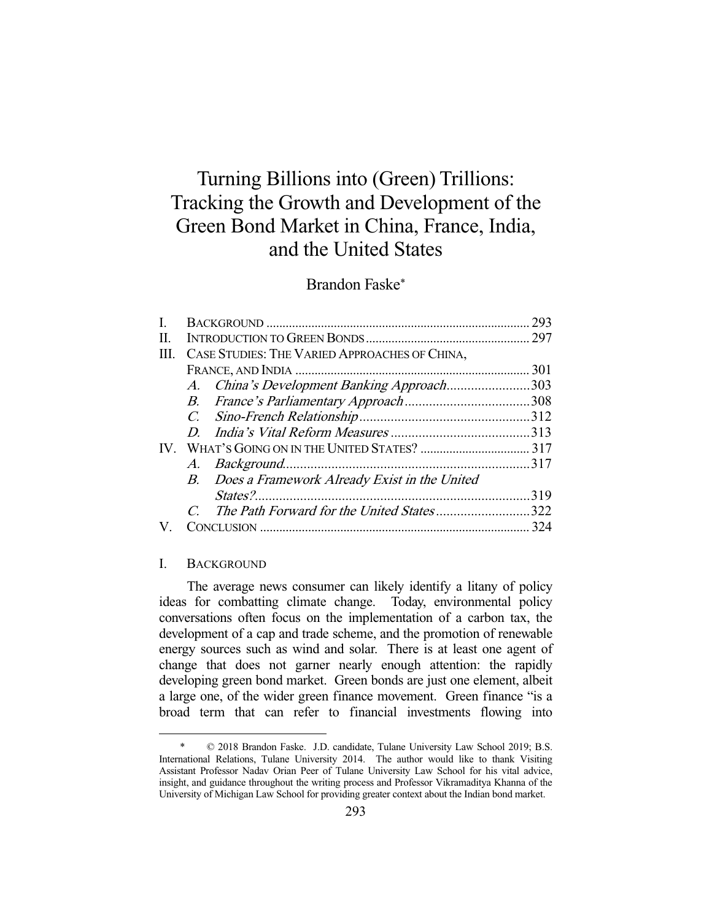# Turning Billions into (Green) Trillions: Tracking the Growth and Development of the Green Bond Market in China, France, India, and the United States

# Brandon Faske\*

|     |  |                                                 | 293 |
|-----|--|-------------------------------------------------|-----|
| П.  |  |                                                 |     |
| HL. |  | CASE STUDIES: THE VARIED APPROACHES OF CHINA,   |     |
|     |  |                                                 | 301 |
|     |  | A. China's Development Banking Approach303      |     |
|     |  |                                                 |     |
|     |  |                                                 |     |
|     |  |                                                 |     |
|     |  |                                                 |     |
|     |  |                                                 |     |
|     |  | B. Does a Framework Already Exist in the United |     |
|     |  |                                                 | 319 |
|     |  | The Path Forward for the United States322       |     |
|     |  |                                                 | 324 |

# I. BACKGROUND

-

 The average news consumer can likely identify a litany of policy ideas for combatting climate change. Today, environmental policy conversations often focus on the implementation of a carbon tax, the development of a cap and trade scheme, and the promotion of renewable energy sources such as wind and solar. There is at least one agent of change that does not garner nearly enough attention: the rapidly developing green bond market. Green bonds are just one element, albeit a large one, of the wider green finance movement. Green finance "is a broad term that can refer to financial investments flowing into

 <sup>\* © 2018</sup> Brandon Faske. J.D. candidate, Tulane University Law School 2019; B.S. International Relations, Tulane University 2014. The author would like to thank Visiting Assistant Professor Nadav Orian Peer of Tulane University Law School for his vital advice, insight, and guidance throughout the writing process and Professor Vikramaditya Khanna of the University of Michigan Law School for providing greater context about the Indian bond market.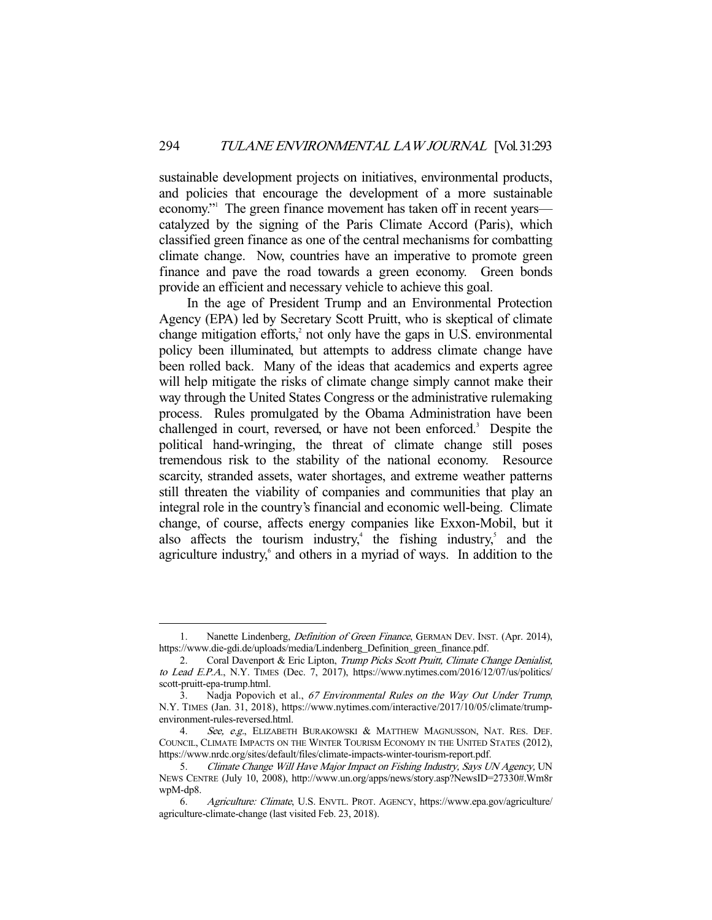sustainable development projects on initiatives, environmental products, and policies that encourage the development of a more sustainable economy." The green finance movement has taken off in recent years catalyzed by the signing of the Paris Climate Accord (Paris), which classified green finance as one of the central mechanisms for combatting climate change. Now, countries have an imperative to promote green finance and pave the road towards a green economy. Green bonds provide an efficient and necessary vehicle to achieve this goal.

 In the age of President Trump and an Environmental Protection Agency (EPA) led by Secretary Scott Pruitt, who is skeptical of climate change mitigation efforts,<sup>2</sup> not only have the gaps in U.S. environmental policy been illuminated, but attempts to address climate change have been rolled back. Many of the ideas that academics and experts agree will help mitigate the risks of climate change simply cannot make their way through the United States Congress or the administrative rulemaking process. Rules promulgated by the Obama Administration have been challenged in court, reversed, or have not been enforced.<sup>3</sup> Despite the political hand-wringing, the threat of climate change still poses tremendous risk to the stability of the national economy. Resource scarcity, stranded assets, water shortages, and extreme weather patterns still threaten the viability of companies and communities that play an integral role in the country's financial and economic well-being. Climate change, of course, affects energy companies like Exxon-Mobil, but it also affects the tourism industry,<sup>4</sup> the fishing industry,<sup>5</sup> and the agriculture industry,<sup>6</sup> and others in a myriad of ways. In addition to the

<sup>1.</sup> Nanette Lindenberg, *Definition of Green Finance*, GERMAN DEV. INST. (Apr. 2014), https://www.die-gdi.de/uploads/media/Lindenberg\_Definition\_green\_finance.pdf.

<sup>2.</sup> Coral Davenport & Eric Lipton, Trump Picks Scott Pruitt, Climate Change Denialist, to Lead E.P.A., N.Y. TIMES (Dec. 7, 2017), https://www.nytimes.com/2016/12/07/us/politics/ scott-pruitt-epa-trump.html.

<sup>3.</sup> Nadja Popovich et al., 67 Environmental Rules on the Way Out Under Trump, N.Y. TIMES (Jan. 31, 2018), https://www.nytimes.com/interactive/2017/10/05/climate/trumpenvironment-rules-reversed.html.

<sup>4.</sup> See, e.g., ELIZABETH BURAKOWSKI & MATTHEW MAGNUSSON, NAT. RES. DEF. COUNCIL, CLIMATE IMPACTS ON THE WINTER TOURISM ECONOMY IN THE UNITED STATES (2012), https://www.nrdc.org/sites/default/files/climate-impacts-winter-tourism-report.pdf.

 <sup>5.</sup> Climate Change Will Have Major Impact on Fishing Industry, Says UN Agency, UN NEWS CENTRE (July 10, 2008), http://www.un.org/apps/news/story.asp?NewsID=27330#.Wm8r wpM-dp8.

 <sup>6.</sup> Agriculture: Climate, U.S. ENVTL. PROT. AGENCY, https://www.epa.gov/agriculture/ agriculture-climate-change (last visited Feb. 23, 2018).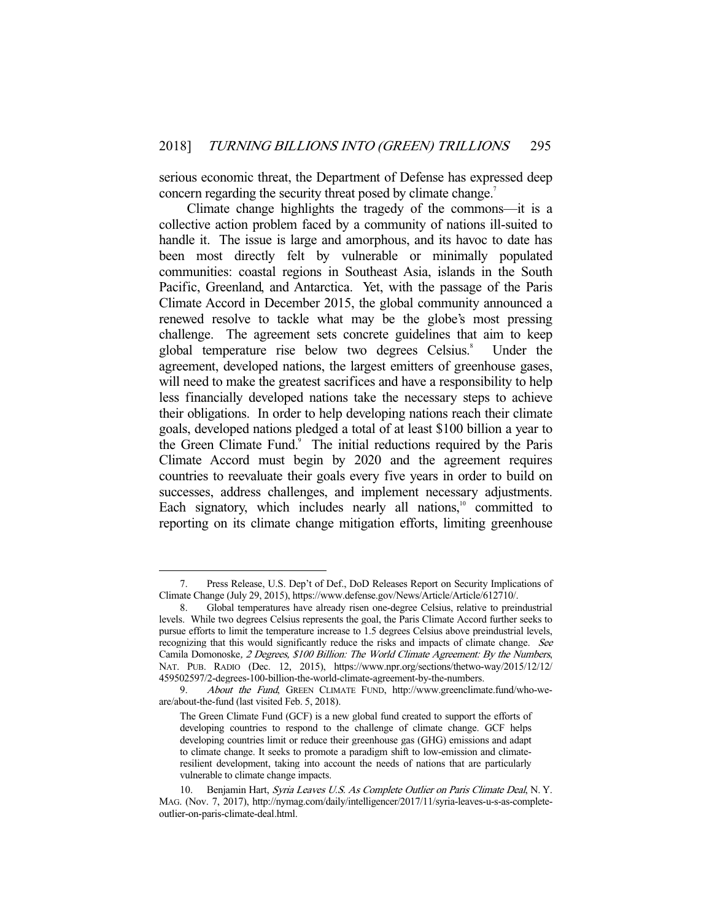serious economic threat, the Department of Defense has expressed deep concern regarding the security threat posed by climate change.<sup>7</sup>

 Climate change highlights the tragedy of the commons—it is a collective action problem faced by a community of nations ill-suited to handle it. The issue is large and amorphous, and its havoc to date has been most directly felt by vulnerable or minimally populated communities: coastal regions in Southeast Asia, islands in the South Pacific, Greenland, and Antarctica. Yet, with the passage of the Paris Climate Accord in December 2015, the global community announced a renewed resolve to tackle what may be the globe's most pressing challenge. The agreement sets concrete guidelines that aim to keep global temperature rise below two degrees Celsius.<sup>8</sup> Under the agreement, developed nations, the largest emitters of greenhouse gases, will need to make the greatest sacrifices and have a responsibility to help less financially developed nations take the necessary steps to achieve their obligations. In order to help developing nations reach their climate goals, developed nations pledged a total of at least \$100 billion a year to the Green Climate Fund.<sup>9</sup> The initial reductions required by the Paris Climate Accord must begin by 2020 and the agreement requires countries to reevaluate their goals every five years in order to build on successes, address challenges, and implement necessary adjustments. Each signatory, which includes nearly all nations, $10$  committed to reporting on its climate change mitigation efforts, limiting greenhouse

 <sup>7.</sup> Press Release, U.S. Dep't of Def., DoD Releases Report on Security Implications of Climate Change (July 29, 2015), https://www.defense.gov/News/Article/Article/612710/.

 <sup>8.</sup> Global temperatures have already risen one-degree Celsius, relative to preindustrial levels. While two degrees Celsius represents the goal, the Paris Climate Accord further seeks to pursue efforts to limit the temperature increase to 1.5 degrees Celsius above preindustrial levels, recognizing that this would significantly reduce the risks and impacts of climate change. See Camila Domonoske, 2 Degrees, \$100 Billion: The World Climate Agreement: By the Numbers, NAT. PUB. RADIO (Dec. 12, 2015), https://www.npr.org/sections/thetwo-way/2015/12/12/ 459502597/2-degrees-100-billion-the-world-climate-agreement-by-the-numbers.

<sup>9.</sup> About the Fund, GREEN CLIMATE FUND, http://www.greenclimate.fund/who-weare/about-the-fund (last visited Feb. 5, 2018).

The Green Climate Fund (GCF) is a new global fund created to support the efforts of developing countries to respond to the challenge of climate change. GCF helps developing countries limit or reduce their greenhouse gas (GHG) emissions and adapt to climate change. It seeks to promote a paradigm shift to low-emission and climateresilient development, taking into account the needs of nations that are particularly vulnerable to climate change impacts.

Benjamin Hart, Syria Leaves U.S. As Complete Outlier on Paris Climate Deal, N.Y. MAG. (Nov. 7, 2017), http://nymag.com/daily/intelligencer/2017/11/syria-leaves-u-s-as-completeoutlier-on-paris-climate-deal.html.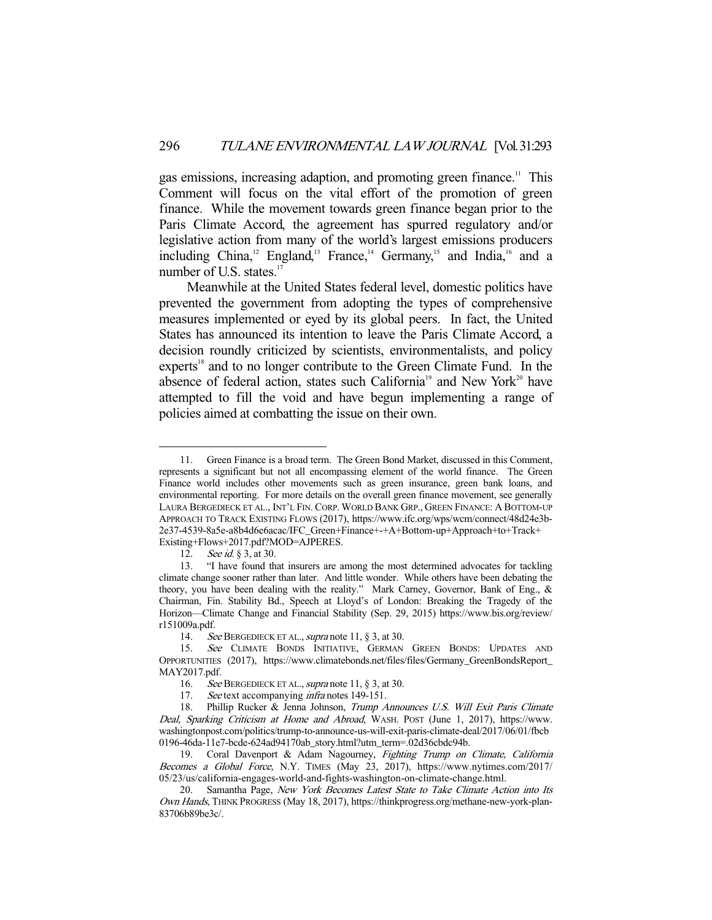gas emissions, increasing adaption, and promoting green finance.<sup>11</sup> This Comment will focus on the vital effort of the promotion of green finance. While the movement towards green finance began prior to the Paris Climate Accord, the agreement has spurred regulatory and/or legislative action from many of the world's largest emissions producers including China,<sup>12</sup> England,<sup>13</sup> France,<sup>14</sup> Germany,<sup>15</sup> and India,<sup>16</sup> and a number of U.S. states.<sup>17</sup>

 Meanwhile at the United States federal level, domestic politics have prevented the government from adopting the types of comprehensive measures implemented or eyed by its global peers. In fact, the United States has announced its intention to leave the Paris Climate Accord, a decision roundly criticized by scientists, environmentalists, and policy experts<sup>18</sup> and to no longer contribute to the Green Climate Fund. In the absence of federal action, states such California<sup>19</sup> and New York<sup>20</sup> have attempted to fill the void and have begun implementing a range of policies aimed at combatting the issue on their own.

 <sup>11.</sup> Green Finance is a broad term. The Green Bond Market, discussed in this Comment, represents a significant but not all encompassing element of the world finance. The Green Finance world includes other movements such as green insurance, green bank loans, and environmental reporting. For more details on the overall green finance movement, see generally LAURA BERGEDIECK ET AL., INT'L FIN. CORP. WORLD BANK GRP., GREEN FINANCE: A BOTTOM-UP APPROACH TO TRACK EXISTING FLOWS (2017), https://www.ifc.org/wps/wcm/connect/48d24e3b-2e37-4539-8a5e-a8b4d6e6acac/IFC\_Green+Finance+-+A+Bottom-up+Approach+to+Track+ Existing+Flows+2017.pdf?MOD=AJPERES.

<sup>12.</sup> See id. § 3, at 30.

 <sup>13. &</sup>quot;I have found that insurers are among the most determined advocates for tackling climate change sooner rather than later. And little wonder. While others have been debating the theory, you have been dealing with the reality." Mark Carney, Governor, Bank of Eng., & Chairman, Fin. Stability Bd., Speech at Lloyd's of London: Breaking the Tragedy of the Horizon—Climate Change and Financial Stability (Sep. 29, 2015) https://www.bis.org/review/ r151009a.pdf.

<sup>14.</sup> See BERGEDIECK ET AL., supra note 11,  $\S$  3, at 30.

 <sup>15.</sup> See CLIMATE BONDS INITIATIVE, GERMAN GREEN BONDS: UPDATES AND OPPORTUNITIES (2017), https://www.climatebonds.net/files/files/Germany\_GreenBondsReport\_ MAY2017.pdf.

<sup>16.</sup> See BERGEDIECK ET AL., supra note 11, § 3, at 30.

<sup>17.</sup> See text accompanying *infra* notes 149-151.

<sup>18.</sup> Phillip Rucker & Jenna Johnson, Trump Announces U.S. Will Exit Paris Climate Deal, Sparking Criticism at Home and Abroad, WASH. POST (June 1, 2017), https://www. washingtonpost.com/politics/trump-to-announce-us-will-exit-paris-climate-deal/2017/06/01/fbcb 0196-46da-11e7-bcde-624ad94170ab\_story.html?utm\_term=.02d36cbdc94b.

<sup>19.</sup> Coral Davenport & Adam Nagourney, Fighting Trump on Climate, California Becomes a Global Force, N.Y. TIMES (May 23, 2017), https://www.nytimes.com/2017/ 05/23/us/california-engages-world-and-fights-washington-on-climate-change.html.

<sup>20.</sup> Samantha Page, New York Becomes Latest State to Take Climate Action into Its Own Hands, THINK PROGRESS (May 18, 2017), https://thinkprogress.org/methane-new-york-plan-83706b89be3c/.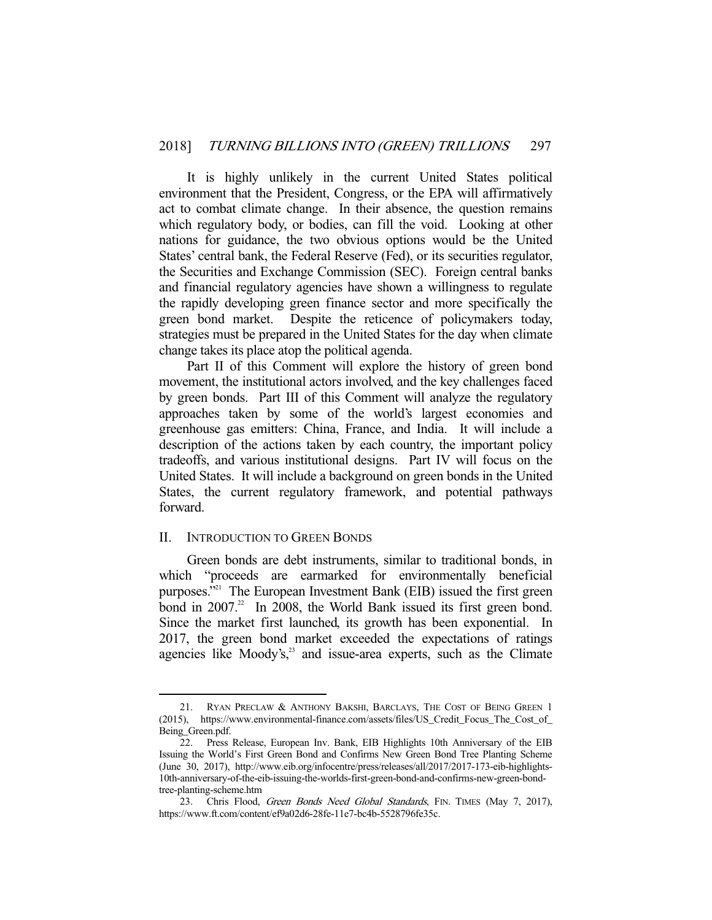It is highly unlikely in the current United States political environment that the President, Congress, or the EPA will affirmatively act to combat climate change. In their absence, the question remains which regulatory body, or bodies, can fill the void. Looking at other nations for guidance, the two obvious options would be the United States' central bank, the Federal Reserve (Fed), or its securities regulator, the Securities and Exchange Commission (SEC). Foreign central banks and financial regulatory agencies have shown a willingness to regulate the rapidly developing green finance sector and more specifically the green bond market. Despite the reticence of policymakers today, strategies must be prepared in the United States for the day when climate change takes its place atop the political agenda.

 Part II of this Comment will explore the history of green bond movement, the institutional actors involved, and the key challenges faced by green bonds. Part III of this Comment will analyze the regulatory approaches taken by some of the world's largest economies and greenhouse gas emitters: China, France, and India. It will include a description of the actions taken by each country, the important policy tradeoffs, and various institutional designs. Part IV will focus on the United States. It will include a background on green bonds in the United States, the current regulatory framework, and potential pathways forward.

# II. INTRODUCTION TO GREEN BONDS

-

 Green bonds are debt instruments, similar to traditional bonds, in which "proceeds are earmarked for environmentally beneficial purposes. $321$  The European Investment Bank (EIB) issued the first green bond in  $2007<sup>22</sup>$  In 2008, the World Bank issued its first green bond. Since the market first launched, its growth has been exponential. In 2017, the green bond market exceeded the expectations of ratings agencies like Moody's, $23$  and issue-area experts, such as the Climate

<sup>21.</sup> RYAN PRECLAW & ANTHONY BAKSHI, BARCLAYS, THE COST OF BEING GREEN 1 (2015), https://www.environmental-finance.com/assets/files/US\_Credit\_Focus\_The\_Cost\_of\_ Being\_Green.pdf.

 <sup>22.</sup> Press Release, European Inv. Bank, EIB Highlights 10th Anniversary of the EIB Issuing the World's First Green Bond and Confirms New Green Bond Tree Planting Scheme (June 30, 2017), http://www.eib.org/infocentre/press/releases/all/2017/2017-173-eib-highlights-10th-anniversary-of-the-eib-issuing-the-worlds-first-green-bond-and-confirms-new-green-bondtree-planting-scheme.htm

<sup>23.</sup> Chris Flood, Green Bonds Need Global Standards, FIN. TIMES (May 7, 2017), https://www.ft.com/content/ef9a02d6-28fe-11e7-bc4b-5528796fe35c.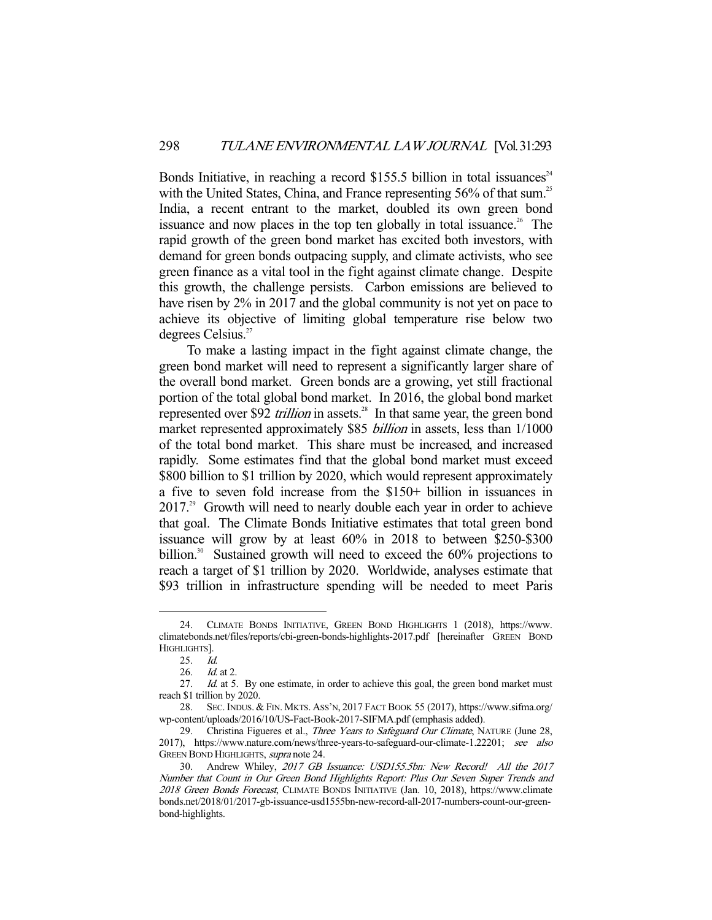Bonds Initiative, in reaching a record \$155.5 billion in total issuances<sup>24</sup> with the United States, China, and France representing 56% of that sum.<sup>25</sup> India, a recent entrant to the market, doubled its own green bond issuance and now places in the top ten globally in total issuance.<sup>26</sup> The rapid growth of the green bond market has excited both investors, with demand for green bonds outpacing supply, and climate activists, who see green finance as a vital tool in the fight against climate change. Despite this growth, the challenge persists. Carbon emissions are believed to have risen by 2% in 2017 and the global community is not yet on pace to achieve its objective of limiting global temperature rise below two degrees Celsius.<sup>27</sup>

 To make a lasting impact in the fight against climate change, the green bond market will need to represent a significantly larger share of the overall bond market. Green bonds are a growing, yet still fractional portion of the total global bond market. In 2016, the global bond market represented over \$92 *trillion* in assets.<sup>28</sup> In that same year, the green bond market represented approximately \$85 *billion* in assets, less than  $1/1000$ of the total bond market. This share must be increased, and increased rapidly. Some estimates find that the global bond market must exceed \$800 billion to \$1 trillion by 2020, which would represent approximately a five to seven fold increase from the \$150+ billion in issuances in 2017.<sup>29</sup> Growth will need to nearly double each year in order to achieve that goal. The Climate Bonds Initiative estimates that total green bond issuance will grow by at least 60% in 2018 to between \$250-\$300 billion.<sup>30</sup> Sustained growth will need to exceed the  $60\%$  projections to reach a target of \$1 trillion by 2020. Worldwide, analyses estimate that \$93 trillion in infrastructure spending will be needed to meet Paris

 <sup>24.</sup> CLIMATE BONDS INITIATIVE, GREEN BOND HIGHLIGHTS 1 (2018), https://www. climatebonds.net/files/reports/cbi-green-bonds-highlights-2017.pdf [hereinafter GREEN BOND HIGHLIGHTS].

 <sup>25.</sup> Id.

 <sup>26.</sup> Id. at 2.

<sup>27.</sup> Id. at 5. By one estimate, in order to achieve this goal, the green bond market must reach \$1 trillion by 2020.

 <sup>28.</sup> SEC. INDUS. & FIN. MKTS. ASS'N, 2017 FACT BOOK 55 (2017), https://www.sifma.org/ wp-content/uploads/2016/10/US-Fact-Book-2017-SIFMA.pdf (emphasis added).

<sup>29.</sup> Christina Figueres et al., Three Years to Safeguard Our Climate, NATURE (June 28, 2017), https://www.nature.com/news/three-years-to-safeguard-our-climate-1.22201; see also GREEN BOND HIGHLIGHTS, supra note 24.

<sup>30.</sup> Andrew Whiley, 2017 GB Issuance: USD155.5bn: New Record! All the 2017 Number that Count in Our Green Bond Highlights Report: Plus Our Seven Super Trends and 2018 Green Bonds Forecast, CLIMATE BONDS INITIATIVE (Jan. 10, 2018), https://www.climate bonds.net/2018/01/2017-gb-issuance-usd1555bn-new-record-all-2017-numbers-count-our-greenbond-highlights.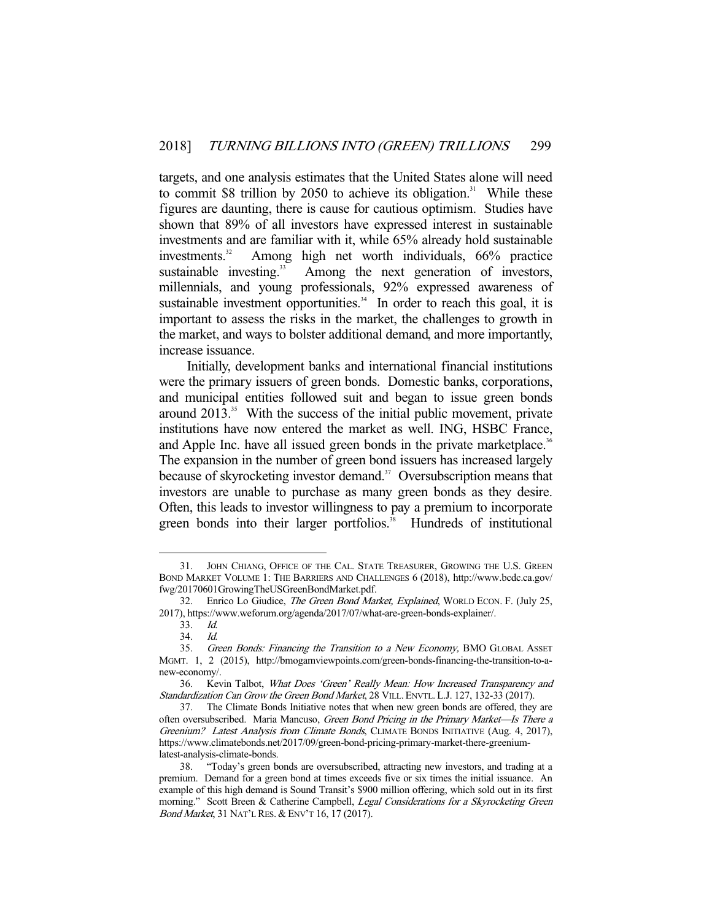targets, and one analysis estimates that the United States alone will need to commit \$8 trillion by 2050 to achieve its obligation.<sup>31</sup> While these figures are daunting, there is cause for cautious optimism. Studies have shown that 89% of all investors have expressed interest in sustainable investments and are familiar with it, while 65% already hold sustainable investments.32 Among high net worth individuals, 66% practice sustainable investing.<sup>33</sup> Among the next generation of investors, millennials, and young professionals, 92% expressed awareness of sustainable investment opportunities. $34$  In order to reach this goal, it is important to assess the risks in the market, the challenges to growth in the market, and ways to bolster additional demand, and more importantly, increase issuance.

 Initially, development banks and international financial institutions were the primary issuers of green bonds. Domestic banks, corporations, and municipal entities followed suit and began to issue green bonds around  $2013<sup>35</sup>$  With the success of the initial public movement, private institutions have now entered the market as well. ING, HSBC France, and Apple Inc. have all issued green bonds in the private marketplace.<sup>36</sup> The expansion in the number of green bond issuers has increased largely because of skyrocketing investor demand.<sup>37</sup> Oversubscription means that investors are unable to purchase as many green bonds as they desire. Often, this leads to investor willingness to pay a premium to incorporate green bonds into their larger portfolios.<sup>38</sup> Hundreds of institutional

 <sup>31.</sup> JOHN CHIANG, OFFICE OF THE CAL. STATE TREASURER, GROWING THE U.S. GREEN BOND MARKET VOLUME 1: THE BARRIERS AND CHALLENGES 6 (2018), http://www.bcdc.ca.gov/ fwg/20170601GrowingTheUSGreenBondMarket.pdf.

<sup>32.</sup> Enrico Lo Giudice, The Green Bond Market, Explained, WORLD ECON. F. (July 25, 2017), https://www.weforum.org/agenda/2017/07/what-are-green-bonds-explainer/.

 <sup>33.</sup> Id.

 <sup>34.</sup> Id.

<sup>35.</sup> Green Bonds: Financing the Transition to a New Economy, BMO GLOBAL ASSET MGMT. 1, 2 (2015), http://bmogamviewpoints.com/green-bonds-financing-the-transition-to-anew-economy/.

 <sup>36.</sup> Kevin Talbot, What Does 'Green' Really Mean: How Increased Transparency and Standardization Can Grow the Green Bond Market, 28 VILL. ENVTL. L.J. 127, 132-33 (2017).

 <sup>37.</sup> The Climate Bonds Initiative notes that when new green bonds are offered, they are often oversubscribed. Maria Mancuso, Green Bond Pricing in the Primary Market—Is There a Greenium? Latest Analysis from Climate Bonds, CLIMATE BONDS INITIATIVE (Aug. 4, 2017), https://www.climatebonds.net/2017/09/green-bond-pricing-primary-market-there-greeniumlatest-analysis-climate-bonds.

 <sup>38. &</sup>quot;Today's green bonds are oversubscribed, attracting new investors, and trading at a premium. Demand for a green bond at times exceeds five or six times the initial issuance. An example of this high demand is Sound Transit's \$900 million offering, which sold out in its first morning." Scott Breen & Catherine Campbell, Legal Considerations for a Skyrocketing Green Bond Market, 31 NAT'L RES. & ENV'T 16, 17 (2017).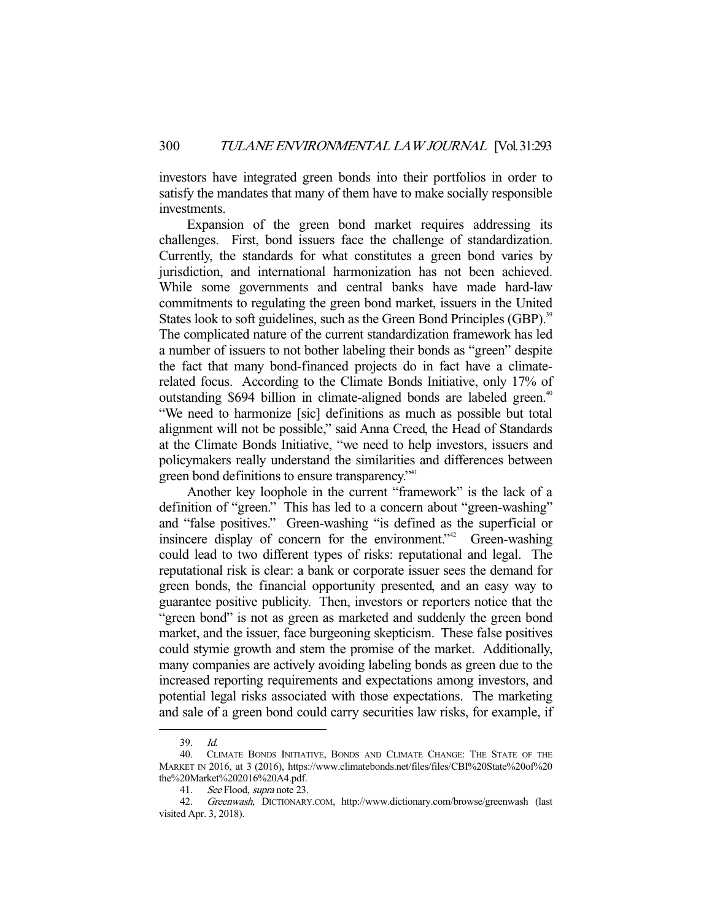investors have integrated green bonds into their portfolios in order to satisfy the mandates that many of them have to make socially responsible investments.

 Expansion of the green bond market requires addressing its challenges. First, bond issuers face the challenge of standardization. Currently, the standards for what constitutes a green bond varies by jurisdiction, and international harmonization has not been achieved. While some governments and central banks have made hard-law commitments to regulating the green bond market, issuers in the United States look to soft guidelines, such as the Green Bond Principles (GBP).<sup>39</sup> The complicated nature of the current standardization framework has led a number of issuers to not bother labeling their bonds as "green" despite the fact that many bond-financed projects do in fact have a climaterelated focus. According to the Climate Bonds Initiative, only 17% of outstanding \$694 billion in climate-aligned bonds are labeled green.<sup>40</sup> "We need to harmonize [sic] definitions as much as possible but total alignment will not be possible," said Anna Creed, the Head of Standards at the Climate Bonds Initiative, "we need to help investors, issuers and policymakers really understand the similarities and differences between green bond definitions to ensure transparency."<sup>41</sup>

 Another key loophole in the current "framework" is the lack of a definition of "green." This has led to a concern about "green-washing" and "false positives." Green-washing "is defined as the superficial or insincere display of concern for the environment." Green-washing could lead to two different types of risks: reputational and legal. The reputational risk is clear: a bank or corporate issuer sees the demand for green bonds, the financial opportunity presented, and an easy way to guarantee positive publicity. Then, investors or reporters notice that the "green bond" is not as green as marketed and suddenly the green bond market, and the issuer, face burgeoning skepticism. These false positives could stymie growth and stem the promise of the market. Additionally, many companies are actively avoiding labeling bonds as green due to the increased reporting requirements and expectations among investors, and potential legal risks associated with those expectations. The marketing and sale of a green bond could carry securities law risks, for example, if

 <sup>39.</sup> Id.

 <sup>40.</sup> CLIMATE BONDS INITIATIVE, BONDS AND CLIMATE CHANGE: THE STATE OF THE MARKET IN 2016, at 3 (2016), https://www.climatebonds.net/files/files/CBI%20State%20of%20 the%20Market%202016%20A4.pdf.

<sup>41.</sup> See Flood, *supra* note 23.

 <sup>42.</sup> Greenwash, DICTIONARY.COM, http://www.dictionary.com/browse/greenwash (last visited Apr. 3, 2018).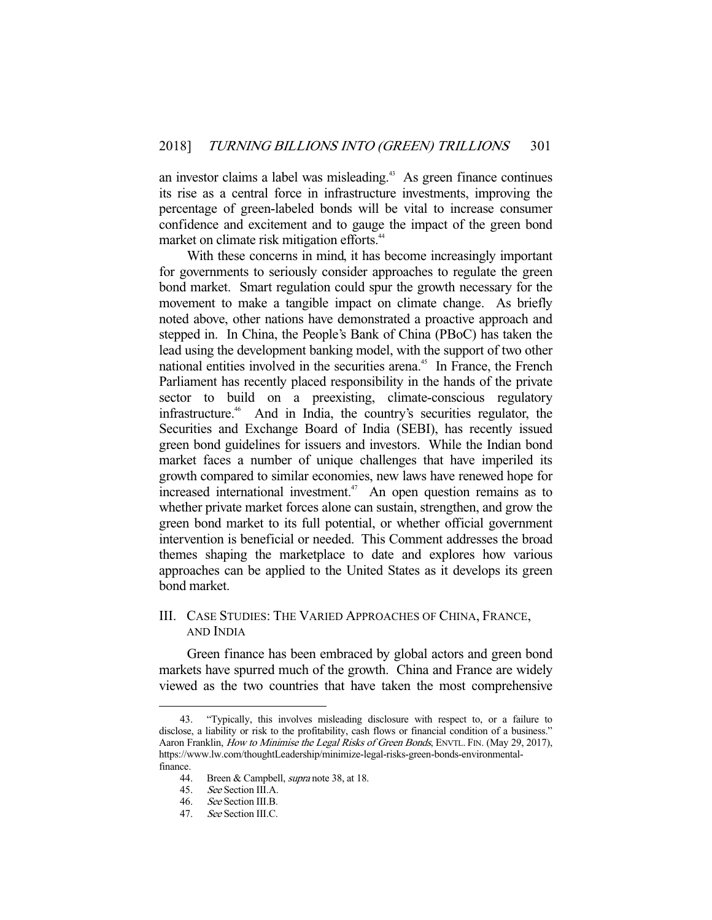an investor claims a label was misleading.<sup>43</sup> As green finance continues its rise as a central force in infrastructure investments, improving the percentage of green-labeled bonds will be vital to increase consumer confidence and excitement and to gauge the impact of the green bond market on climate risk mitigation efforts.<sup>44</sup>

 With these concerns in mind, it has become increasingly important for governments to seriously consider approaches to regulate the green bond market. Smart regulation could spur the growth necessary for the movement to make a tangible impact on climate change. As briefly noted above, other nations have demonstrated a proactive approach and stepped in. In China, the People's Bank of China (PBoC) has taken the lead using the development banking model, with the support of two other national entities involved in the securities arena.<sup>45</sup> In France, the French Parliament has recently placed responsibility in the hands of the private sector to build on a preexisting, climate-conscious regulatory infrastructure.46 And in India, the country's securities regulator, the Securities and Exchange Board of India (SEBI), has recently issued green bond guidelines for issuers and investors. While the Indian bond market faces a number of unique challenges that have imperiled its growth compared to similar economies, new laws have renewed hope for increased international investment.<sup>47</sup> An open question remains as to whether private market forces alone can sustain, strengthen, and grow the green bond market to its full potential, or whether official government intervention is beneficial or needed. This Comment addresses the broad themes shaping the marketplace to date and explores how various approaches can be applied to the United States as it develops its green bond market.

# III. CASE STUDIES: THE VARIED APPROACHES OF CHINA, FRANCE, AND INDIA

 Green finance has been embraced by global actors and green bond markets have spurred much of the growth. China and France are widely viewed as the two countries that have taken the most comprehensive

 <sup>43. &</sup>quot;Typically, this involves misleading disclosure with respect to, or a failure to disclose, a liability or risk to the profitability, cash flows or financial condition of a business." Aaron Franklin, How to Minimise the Legal Risks of Green Bonds, ENVTL. FIN. (May 29, 2017), https://www.lw.com/thoughtLeadership/minimize-legal-risks-green-bonds-environmentalfinance.

<sup>44.</sup> Breen & Campbell, *supra* note 38, at 18.

 <sup>45.</sup> See Section III.A.

 <sup>46.</sup> See Section III.B.

 <sup>47.</sup> See Section III.C.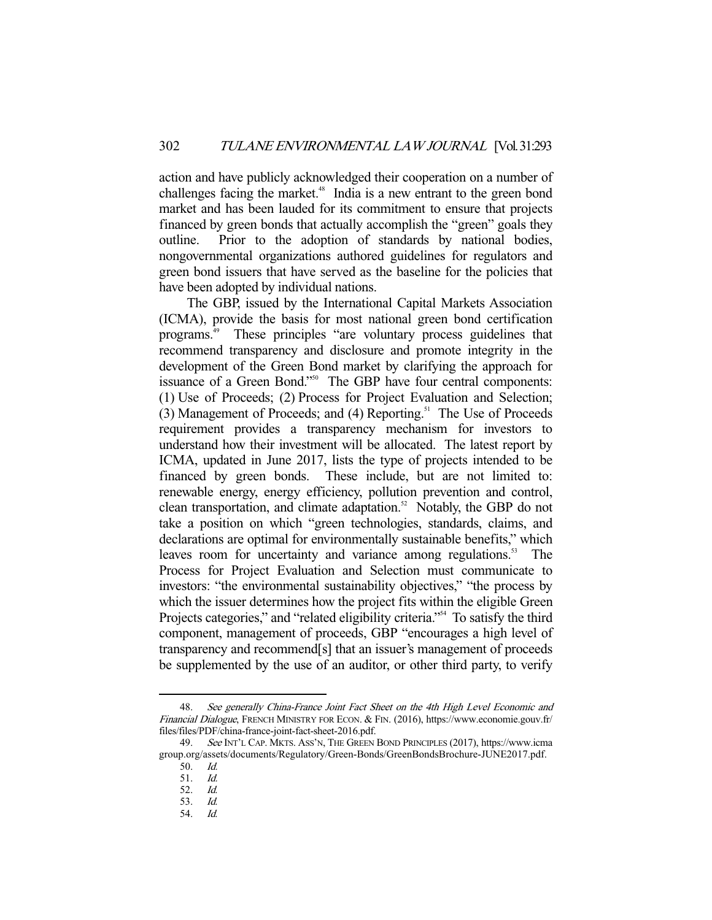action and have publicly acknowledged their cooperation on a number of challenges facing the market. $48$  India is a new entrant to the green bond market and has been lauded for its commitment to ensure that projects financed by green bonds that actually accomplish the "green" goals they outline. Prior to the adoption of standards by national bodies, nongovernmental organizations authored guidelines for regulators and green bond issuers that have served as the baseline for the policies that have been adopted by individual nations.

 The GBP, issued by the International Capital Markets Association (ICMA), provide the basis for most national green bond certification programs.49 These principles "are voluntary process guidelines that recommend transparency and disclosure and promote integrity in the development of the Green Bond market by clarifying the approach for issuance of a Green Bond."<sup>50</sup> The GBP have four central components: (1) Use of Proceeds; (2) Process for Project Evaluation and Selection;  $(3)$  Management of Proceeds; and  $(4)$  Reporting.<sup>51</sup> The Use of Proceeds requirement provides a transparency mechanism for investors to understand how their investment will be allocated. The latest report by ICMA, updated in June 2017, lists the type of projects intended to be financed by green bonds. These include, but are not limited to: renewable energy, energy efficiency, pollution prevention and control, clean transportation, and climate adaptation.<sup>52</sup> Notably, the GBP do not take a position on which "green technologies, standards, claims, and declarations are optimal for environmentally sustainable benefits," which leaves room for uncertainty and variance among regulations.<sup>53</sup> The Process for Project Evaluation and Selection must communicate to investors: "the environmental sustainability objectives," "the process by which the issuer determines how the project fits within the eligible Green Projects categories," and "related eligibility criteria."<sup>554</sup> To satisfy the third component, management of proceeds, GBP "encourages a high level of transparency and recommend[s] that an issuer's management of proceeds be supplemented by the use of an auditor, or other third party, to verify

 <sup>48.</sup> See generally China-France Joint Fact Sheet on the 4th High Level Economic and Financial Dialogue, FRENCH MINISTRY FOR ECON. & FIN. (2016), https://www.economie.gouv.fr/ files/files/PDF/china-france-joint-fact-sheet-2016.pdf.

 <sup>49.</sup> See INT'L CAP. MKTS. ASS'N, THE GREEN BOND PRINCIPLES (2017), https://www.icma group.org/assets/documents/Regulatory/Green-Bonds/GreenBondsBrochure-JUNE2017.pdf.

 <sup>50.</sup> Id.

 <sup>51.</sup> Id.

 <sup>52.</sup> Id. 53. Id.

 <sup>54.</sup> Id.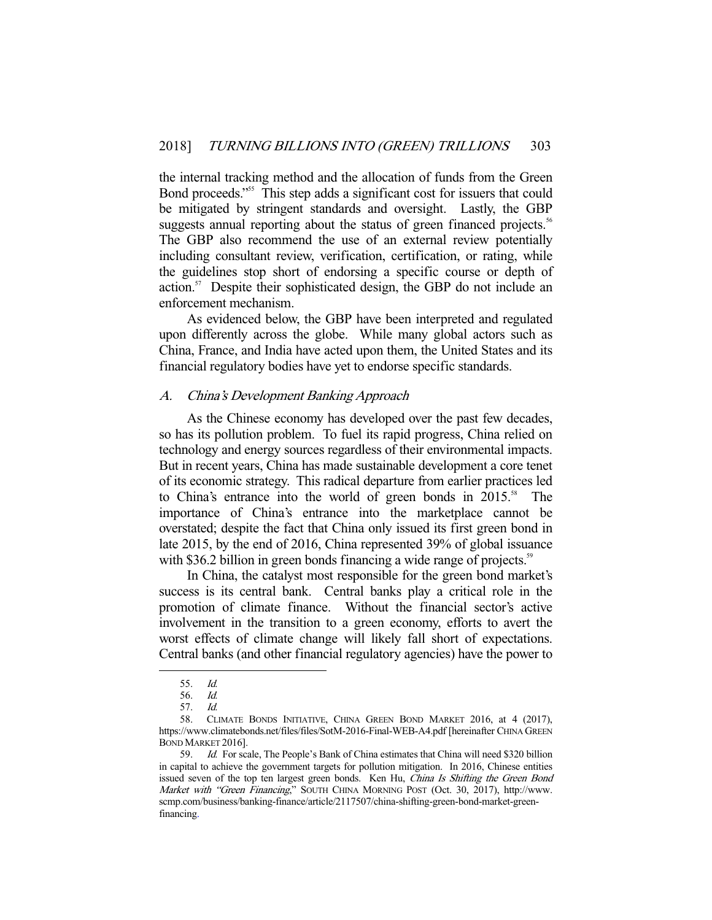the internal tracking method and the allocation of funds from the Green Bond proceeds."55 This step adds a significant cost for issuers that could be mitigated by stringent standards and oversight. Lastly, the GBP suggests annual reporting about the status of green financed projects.<sup>56</sup> The GBP also recommend the use of an external review potentially including consultant review, verification, certification, or rating, while the guidelines stop short of endorsing a specific course or depth of action.<sup>57</sup> Despite their sophisticated design, the GBP do not include an enforcement mechanism.

 As evidenced below, the GBP have been interpreted and regulated upon differently across the globe. While many global actors such as China, France, and India have acted upon them, the United States and its financial regulatory bodies have yet to endorse specific standards.

#### A. China's Development Banking Approach

 As the Chinese economy has developed over the past few decades, so has its pollution problem. To fuel its rapid progress, China relied on technology and energy sources regardless of their environmental impacts. But in recent years, China has made sustainable development a core tenet of its economic strategy. This radical departure from earlier practices led to China's entrance into the world of green bonds in  $2015$ .<sup>58</sup> The importance of China's entrance into the marketplace cannot be overstated; despite the fact that China only issued its first green bond in late 2015, by the end of 2016, China represented 39% of global issuance with \$36.2 billion in green bonds financing a wide range of projects.<sup>59</sup>

 In China, the catalyst most responsible for the green bond market's success is its central bank. Central banks play a critical role in the promotion of climate finance. Without the financial sector's active involvement in the transition to a green economy, efforts to avert the worst effects of climate change will likely fall short of expectations. Central banks (and other financial regulatory agencies) have the power to

 <sup>55.</sup> Id.

 <sup>56.</sup> Id.

 <sup>57.</sup> Id.

 <sup>58.</sup> CLIMATE BONDS INITIATIVE, CHINA GREEN BOND MARKET 2016, at 4 (2017), https://www.climatebonds.net/files/files/SotM-2016-Final-WEB-A4.pdf [hereinafter CHINA GREEN BOND MARKET 2016].

 <sup>59.</sup> Id. For scale, The People's Bank of China estimates that China will need \$320 billion in capital to achieve the government targets for pollution mitigation. In 2016, Chinese entities issued seven of the top ten largest green bonds. Ken Hu, China Is Shifting the Green Bond Market with "Green Financing," SOUTH CHINA MORNING POST (Oct. 30, 2017), http://www. scmp.com/business/banking-finance/article/2117507/china-shifting-green-bond-market-greenfinancing.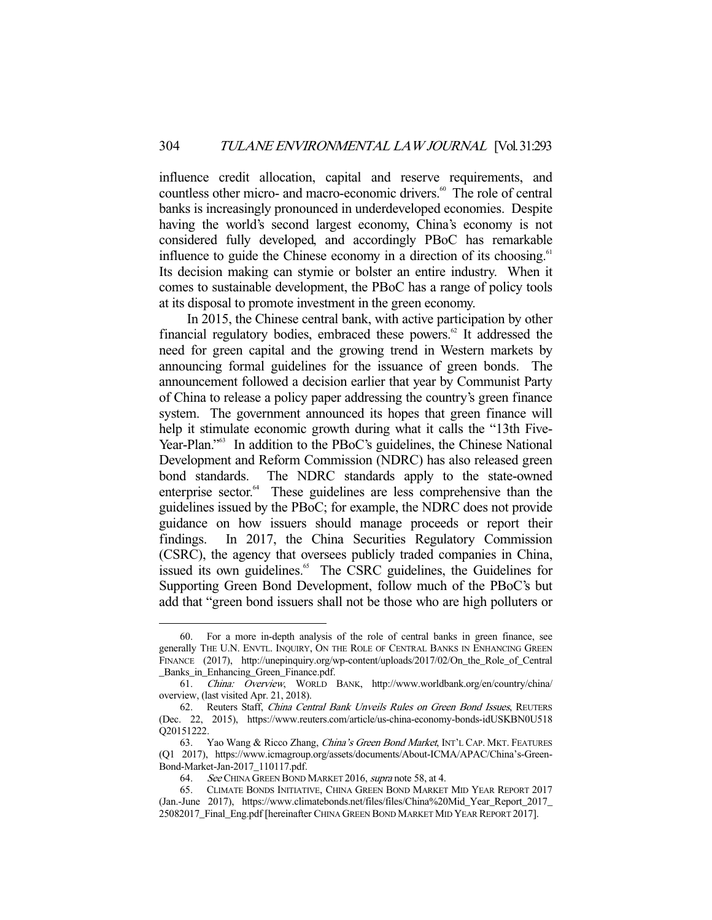influence credit allocation, capital and reserve requirements, and countless other micro- and macro-economic drivers.<sup>60</sup> The role of central banks is increasingly pronounced in underdeveloped economies. Despite having the world's second largest economy, China's economy is not considered fully developed, and accordingly PBoC has remarkable influence to guide the Chinese economy in a direction of its choosing.<sup>61</sup> Its decision making can stymie or bolster an entire industry. When it comes to sustainable development, the PBoC has a range of policy tools at its disposal to promote investment in the green economy.

 In 2015, the Chinese central bank, with active participation by other financial regulatory bodies, embraced these powers. $62$  It addressed the need for green capital and the growing trend in Western markets by announcing formal guidelines for the issuance of green bonds. The announcement followed a decision earlier that year by Communist Party of China to release a policy paper addressing the country's green finance system. The government announced its hopes that green finance will help it stimulate economic growth during what it calls the "13th Five-Year-Plan."<sup>63</sup> In addition to the PBoC's guidelines, the Chinese National Development and Reform Commission (NDRC) has also released green bond standards. The NDRC standards apply to the state-owned enterprise sector.<sup>64</sup> These guidelines are less comprehensive than the guidelines issued by the PBoC; for example, the NDRC does not provide guidance on how issuers should manage proceeds or report their findings. In 2017, the China Securities Regulatory Commission (CSRC), the agency that oversees publicly traded companies in China, issued its own guidelines.<sup>65</sup> The CSRC guidelines, the Guidelines for Supporting Green Bond Development, follow much of the PBoC's but add that "green bond issuers shall not be those who are high polluters or

 <sup>60.</sup> For a more in-depth analysis of the role of central banks in green finance, see generally THE U.N. ENVTL. INQUIRY, ON THE ROLE OF CENTRAL BANKS IN ENHANCING GREEN FINANCE (2017), http://unepinquiry.org/wp-content/uploads/2017/02/On the Role of Central \_Banks\_in\_Enhancing\_Green\_Finance.pdf.

 <sup>61.</sup> China: Overview, WORLD BANK, http://www.worldbank.org/en/country/china/ overview, (last visited Apr. 21, 2018).

 <sup>62.</sup> Reuters Staff, China Central Bank Unveils Rules on Green Bond Issues, REUTERS (Dec. 22, 2015), https://www.reuters.com/article/us-china-economy-bonds-idUSKBN0U518 Q20151222.

<sup>63.</sup> Yao Wang & Ricco Zhang, *China's Green Bond Market*, INT'L CAP. MKT. FEATURES (Q1 2017), https://www.icmagroup.org/assets/documents/About-ICMA/APAC/China's-Green-Bond-Market-Jan-2017\_110117.pdf.

<sup>64.</sup> See CHINA GREEN BOND MARKET 2016, supra note 58, at 4.

 <sup>65.</sup> CLIMATE BONDS INITIATIVE, CHINA GREEN BOND MARKET MID YEAR REPORT 2017 (Jan.-June 2017), https://www.climatebonds.net/files/files/China%20Mid\_Year\_Report\_2017\_ 25082017\_Final\_Eng.pdf [hereinafter CHINA GREEN BOND MARKET MID YEAR REPORT 2017].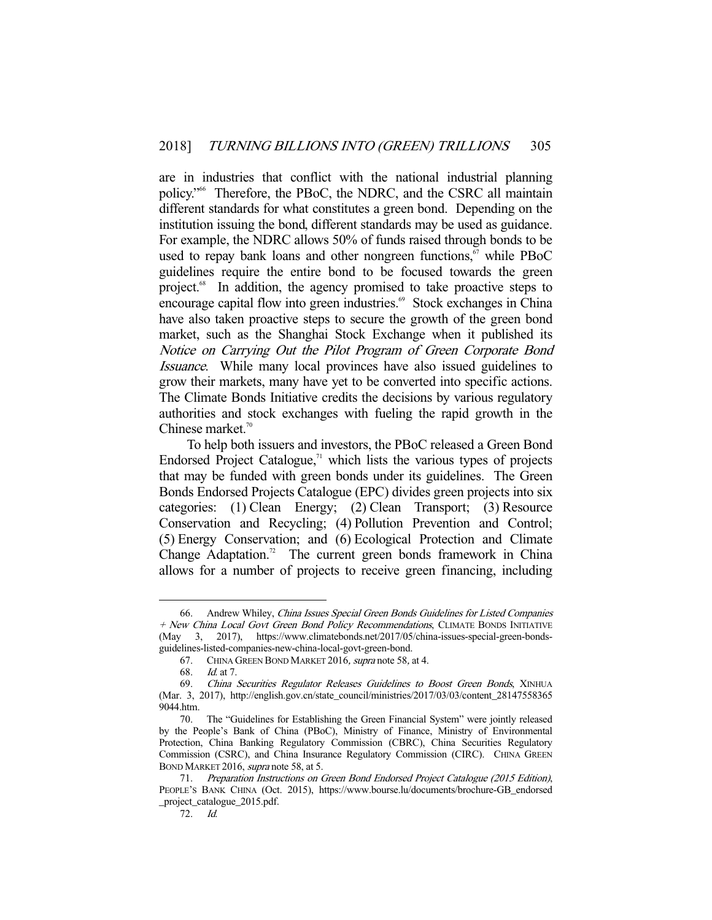are in industries that conflict with the national industrial planning policy."66 Therefore, the PBoC, the NDRC, and the CSRC all maintain different standards for what constitutes a green bond. Depending on the institution issuing the bond, different standards may be used as guidance. For example, the NDRC allows 50% of funds raised through bonds to be used to repay bank loans and other nongreen functions, $67$  while PBoC guidelines require the entire bond to be focused towards the green project.<sup>68</sup> In addition, the agency promised to take proactive steps to encourage capital flow into green industries.<sup>69</sup> Stock exchanges in China have also taken proactive steps to secure the growth of the green bond market, such as the Shanghai Stock Exchange when it published its Notice on Carrying Out the Pilot Program of Green Corporate Bond Issuance. While many local provinces have also issued guidelines to grow their markets, many have yet to be converted into specific actions. The Climate Bonds Initiative credits the decisions by various regulatory authorities and stock exchanges with fueling the rapid growth in the Chinese market.<sup>70</sup>

 To help both issuers and investors, the PBoC released a Green Bond Endorsed Project Catalogue, $71$  which lists the various types of projects that may be funded with green bonds under its guidelines. The Green Bonds Endorsed Projects Catalogue (EPC) divides green projects into six categories: (1) Clean Energy; (2) Clean Transport; (3) Resource Conservation and Recycling; (4) Pollution Prevention and Control; (5) Energy Conservation; and (6) Ecological Protection and Climate Change Adaptation.<sup>72</sup> The current green bonds framework in China allows for a number of projects to receive green financing, including

 <sup>66.</sup> Andrew Whiley, China Issues Special Green Bonds Guidelines for Listed Companies + New China Local Govt Green Bond Policy Recommendations, CLIMATE BONDS INITIATIVE (May 3, 2017), https://www.climatebonds.net/2017/05/china-issues-special-green-bondsguidelines-listed-companies-new-china-local-govt-green-bond.

 <sup>67.</sup> CHINA GREEN BOND MARKET 2016, supra note 58, at 4.

 <sup>68.</sup> Id. at 7.

 <sup>69.</sup> China Securities Regulator Releases Guidelines to Boost Green Bonds, XINHUA (Mar. 3, 2017), http://english.gov.cn/state\_council/ministries/2017/03/03/content\_28147558365 9044.htm.

 <sup>70.</sup> The "Guidelines for Establishing the Green Financial System" were jointly released by the People's Bank of China (PBoC), Ministry of Finance, Ministry of Environmental Protection, China Banking Regulatory Commission (CBRC), China Securities Regulatory Commission (CSRC), and China Insurance Regulatory Commission (CIRC). CHINA GREEN BOND MARKET 2016, supra note 58, at 5.

 <sup>71.</sup> Preparation Instructions on Green Bond Endorsed Project Catalogue (2015 Edition), PEOPLE'S BANK CHINA (Oct. 2015), https://www.bourse.lu/documents/brochure-GB\_endorsed \_project\_catalogue\_2015.pdf.

 <sup>72.</sup> Id.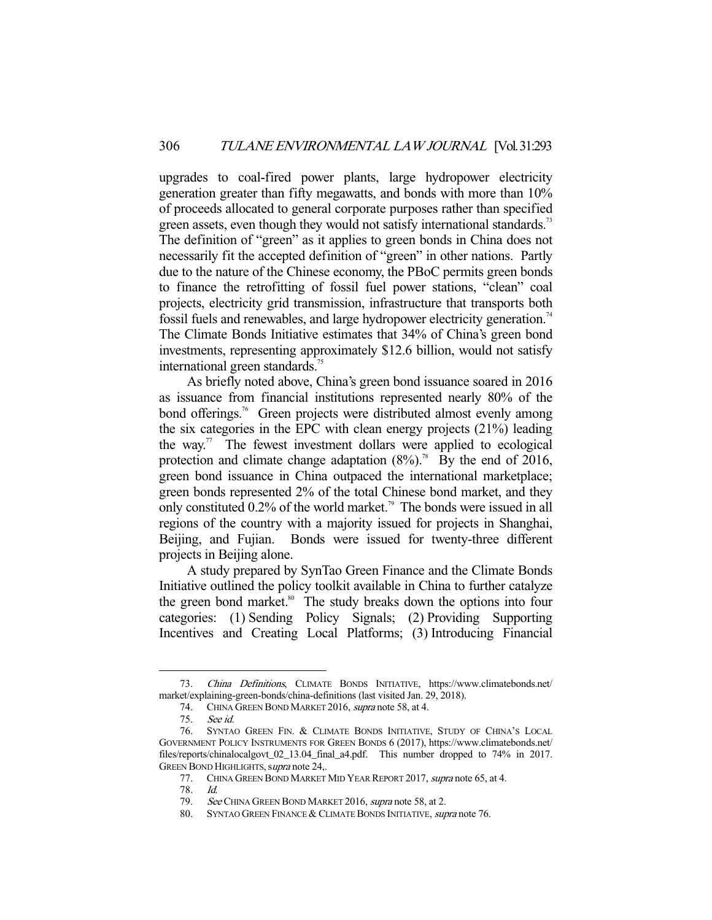upgrades to coal-fired power plants, large hydropower electricity generation greater than fifty megawatts, and bonds with more than 10% of proceeds allocated to general corporate purposes rather than specified green assets, even though they would not satisfy international standards.<sup>73</sup> The definition of "green" as it applies to green bonds in China does not necessarily fit the accepted definition of "green" in other nations. Partly due to the nature of the Chinese economy, the PBoC permits green bonds to finance the retrofitting of fossil fuel power stations, "clean" coal projects, electricity grid transmission, infrastructure that transports both fossil fuels and renewables, and large hydropower electricity generation.<sup>74</sup> The Climate Bonds Initiative estimates that 34% of China's green bond investments, representing approximately \$12.6 billion, would not satisfy international green standards.<sup>75</sup>

 As briefly noted above, China's green bond issuance soared in 2016 as issuance from financial institutions represented nearly 80% of the bond offerings.<sup>76</sup> Green projects were distributed almost evenly among the six categories in the EPC with clean energy projects (21%) leading the way.<sup>77</sup> The fewest investment dollars were applied to ecological protection and climate change adaptation  $(8\%)$ .<sup>78</sup> By the end of 2016, green bond issuance in China outpaced the international marketplace; green bonds represented 2% of the total Chinese bond market, and they only constituted  $0.2\%$  of the world market.<sup>79</sup> The bonds were issued in all regions of the country with a majority issued for projects in Shanghai, Beijing, and Fujian. Bonds were issued for twenty-three different projects in Beijing alone.

 A study prepared by SynTao Green Finance and the Climate Bonds Initiative outlined the policy toolkit available in China to further catalyze the green bond market.<sup>80</sup> The study breaks down the options into four categories: (1) Sending Policy Signals; (2) Providing Supporting Incentives and Creating Local Platforms; (3) Introducing Financial

 <sup>73.</sup> China Definitions, CLIMATE BONDS INITIATIVE, https://www.climatebonds.net/ market/explaining-green-bonds/china-definitions (last visited Jan. 29, 2018).

 <sup>74.</sup> CHINA GREEN BOND MARKET 2016, supra note 58, at 4.

 <sup>75.</sup> See id.

 <sup>76.</sup> SYNTAO GREEN FIN. & CLIMATE BONDS INITIATIVE, STUDY OF CHINA'S LOCAL GOVERNMENT POLICY INSTRUMENTS FOR GREEN BONDS 6 (2017), https://www.climatebonds.net/ files/reports/chinalocalgovt\_02\_13.04\_final\_a4.pdf. This number dropped to 74% in 2017. GREEN BOND HIGHLIGHTS, supra note 24,.

 <sup>77.</sup> CHINA GREEN BOND MARKET MID YEAR REPORT 2017, supra note 65, at 4.

<sup>78</sup>. Id.

<sup>79.</sup> See CHINA GREEN BOND MARKET 2016, supra note 58, at 2.

<sup>80.</sup> SYNTAO GREEN FINANCE & CLIMATE BONDS INITIATIVE, supra note 76.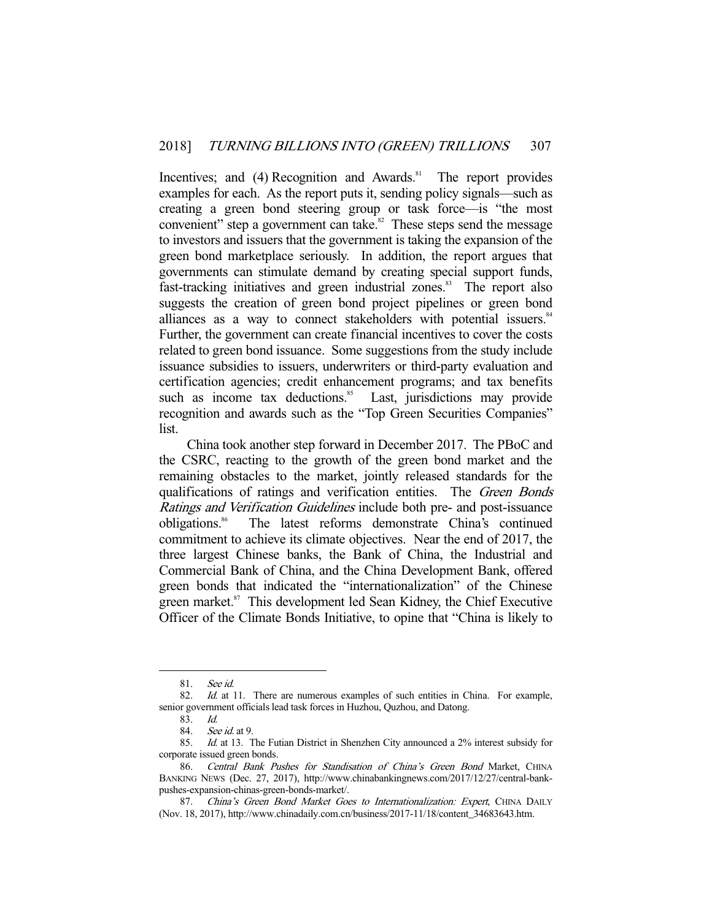Incentives; and  $(4)$  Recognition and Awards.<sup>81</sup> The report provides examples for each. As the report puts it, sending policy signals—such as creating a green bond steering group or task force—is "the most convenient" step a government can take. $82$  These steps send the message to investors and issuers that the government is taking the expansion of the green bond marketplace seriously. In addition, the report argues that governments can stimulate demand by creating special support funds, fast-tracking initiatives and green industrial zones.<sup>83</sup> The report also suggests the creation of green bond project pipelines or green bond alliances as a way to connect stakeholders with potential issuers.<sup>84</sup> Further, the government can create financial incentives to cover the costs related to green bond issuance. Some suggestions from the study include issuance subsidies to issuers, underwriters or third-party evaluation and certification agencies; credit enhancement programs; and tax benefits such as income tax deductions.<sup>85</sup> Last, jurisdictions may provide such as income tax deductions.<sup>85</sup> recognition and awards such as the "Top Green Securities Companies" list.

 China took another step forward in December 2017. The PBoC and the CSRC, reacting to the growth of the green bond market and the remaining obstacles to the market, jointly released standards for the qualifications of ratings and verification entities. The Green Bonds Ratings and Verification Guidelines include both pre- and post-issuance obligations.<sup>86</sup> The latest reforms demonstrate China's continued commitment to achieve its climate objectives. Near the end of 2017, the three largest Chinese banks, the Bank of China, the Industrial and Commercial Bank of China, and the China Development Bank, offered green bonds that indicated the "internationalization" of the Chinese green market.<sup>87</sup> This development led Sean Kidney, the Chief Executive Officer of the Climate Bonds Initiative, to opine that "China is likely to

 <sup>81.</sup> See id.

<sup>82.</sup> Id. at 11. There are numerous examples of such entities in China. For example, senior government officials lead task forces in Huzhou, Quzhou, and Datong.

<sup>83.</sup> Id.<br>84. See

See id. at 9.

 <sup>85.</sup> Id. at 13. The Futian District in Shenzhen City announced a 2% interest subsidy for corporate issued green bonds.

<sup>86.</sup> Central Bank Pushes for Standisation of China's Green Bond Market, CHINA BANKING NEWS (Dec. 27, 2017), http://www.chinabankingnews.com/2017/12/27/central-bankpushes-expansion-chinas-green-bonds-market/.

<sup>87.</sup> China's Green Bond Market Goes to Internationalization: Expert, CHINA DAILY (Nov. 18, 2017), http://www.chinadaily.com.cn/business/2017-11/18/content\_34683643.htm.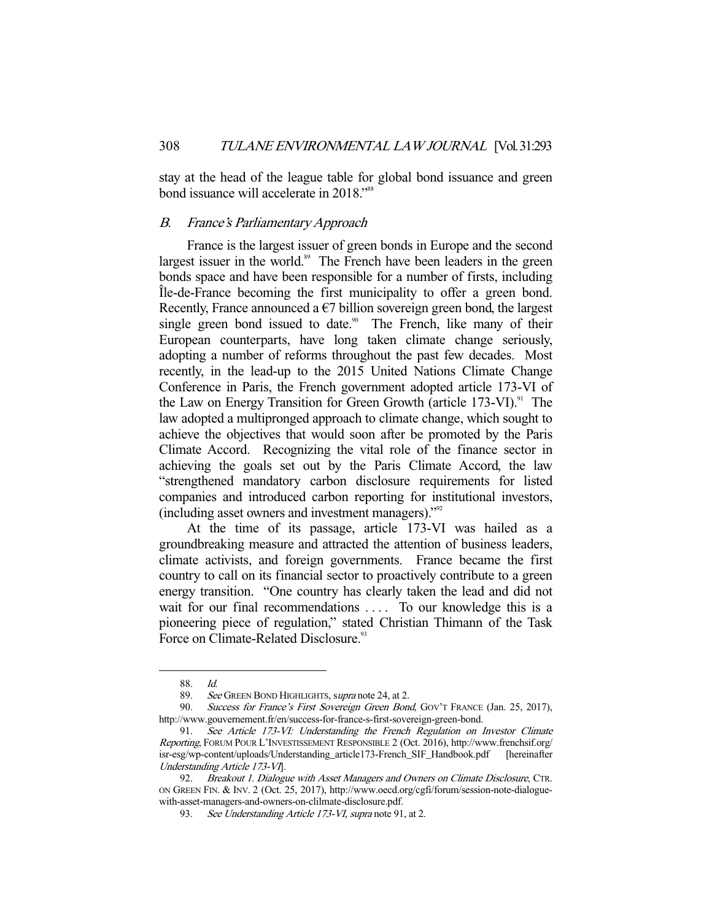stay at the head of the league table for global bond issuance and green bond issuance will accelerate in 2018."<sup>88</sup>

# B. France's Parliamentary Approach

 France is the largest issuer of green bonds in Europe and the second largest issuer in the world.<sup>89</sup> The French have been leaders in the green bonds space and have been responsible for a number of firsts, including Île-de-France becoming the first municipality to offer a green bond. Recently, France announced a  $\epsilon$ 7 billion sovereign green bond, the largest single green bond issued to date.<sup>90</sup> The French, like many of their European counterparts, have long taken climate change seriously, adopting a number of reforms throughout the past few decades. Most recently, in the lead-up to the 2015 United Nations Climate Change Conference in Paris, the French government adopted article 173-VI of the Law on Energy Transition for Green Growth (article  $173$ -VI).<sup>91</sup> The law adopted a multipronged approach to climate change, which sought to achieve the objectives that would soon after be promoted by the Paris Climate Accord. Recognizing the vital role of the finance sector in achieving the goals set out by the Paris Climate Accord, the law "strengthened mandatory carbon disclosure requirements for listed companies and introduced carbon reporting for institutional investors, (including asset owners and investment managers)."92

 At the time of its passage, article 173-VI was hailed as a groundbreaking measure and attracted the attention of business leaders, climate activists, and foreign governments. France became the first country to call on its financial sector to proactively contribute to a green energy transition. "One country has clearly taken the lead and did not wait for our final recommendations .... To our knowledge this is a pioneering piece of regulation," stated Christian Thimann of the Task Force on Climate-Related Disclosure.<sup>93</sup>

 <sup>88.</sup> Id.

<sup>89.</sup> See GREEN BOND HIGHLIGHTS, supra note 24, at 2.

<sup>90.</sup> Success for France's First Sovereign Green Bond, GOV'T FRANCE (Jan. 25, 2017), http://www.gouvernement.fr/en/success-for-france-s-first-sovereign-green-bond.

 <sup>91.</sup> See Article 173-VI: Understanding the French Regulation on Investor Climate Reporting, FORUM POUR L'INVESTISSEMENT RESPONSIBLE 2 (Oct. 2016), http://www.frenchsif.org/ isr-esg/wp-content/uploads/Understanding\_article173-French\_SIF\_Handbook.pdf [hereinafter Understanding Article 173-VI].

<sup>92.</sup> Breakout 1. Dialogue with Asset Managers and Owners on Climate Disclosure, CTR. ON GREEN FIN. & INV. 2 (Oct. 25, 2017), http://www.oecd.org/cgfi/forum/session-note-dialoguewith-asset-managers-and-owners-on-clilmate-disclosure.pdf.

<sup>93.</sup> See Understanding Article 173-VI, supra note 91, at 2.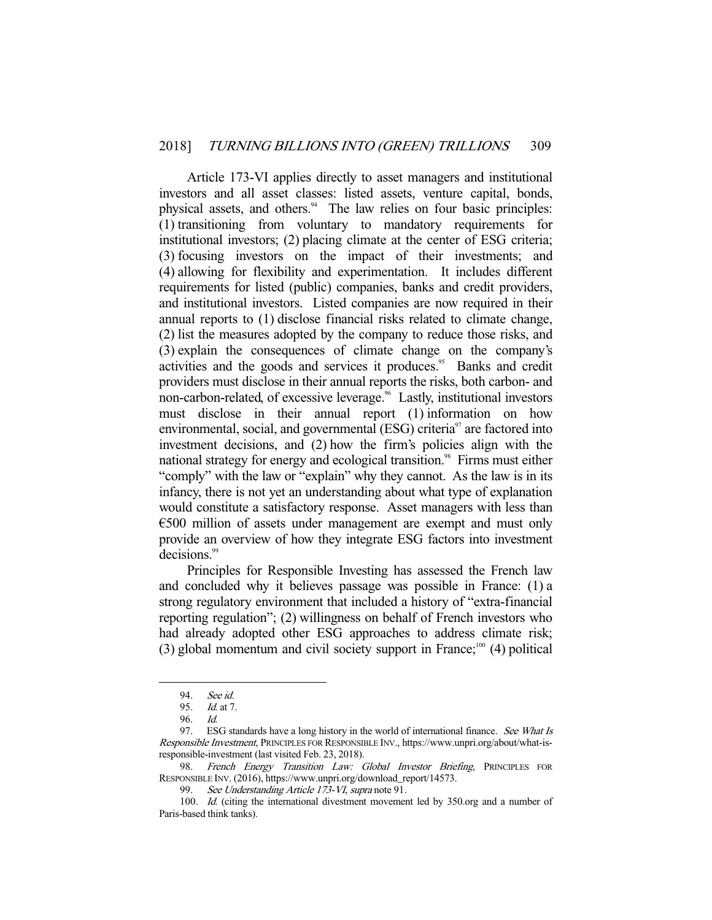Article 173-VI applies directly to asset managers and institutional investors and all asset classes: listed assets, venture capital, bonds, physical assets, and others.<sup>94</sup> The law relies on four basic principles: (1) transitioning from voluntary to mandatory requirements for institutional investors; (2) placing climate at the center of ESG criteria; (3) focusing investors on the impact of their investments; and (4) allowing for flexibility and experimentation. It includes different requirements for listed (public) companies, banks and credit providers, and institutional investors. Listed companies are now required in their annual reports to (1) disclose financial risks related to climate change, (2) list the measures adopted by the company to reduce those risks, and (3) explain the consequences of climate change on the company's activities and the goods and services it produces.<sup>95</sup> Banks and credit providers must disclose in their annual reports the risks, both carbon- and non-carbon-related, of excessive leverage.<sup>96</sup> Lastly, institutional investors must disclose in their annual report (1) information on how environmental, social, and governmental (ESG) criteria<sup>97</sup> are factored into investment decisions, and (2) how the firm's policies align with the national strategy for energy and ecological transition.<sup>98</sup> Firms must either "comply" with the law or "explain" why they cannot. As the law is in its infancy, there is not yet an understanding about what type of explanation would constitute a satisfactory response. Asset managers with less than €500 million of assets under management are exempt and must only provide an overview of how they integrate ESG factors into investment decisions.<sup>99</sup>

 Principles for Responsible Investing has assessed the French law and concluded why it believes passage was possible in France: (1) a strong regulatory environment that included a history of "extra-financial reporting regulation"; (2) willingness on behalf of French investors who had already adopted other ESG approaches to address climate risk; (3) global momentum and civil society support in France;<sup>100</sup> (4) political

<sup>94.</sup> *See id.*<br>95. *Id.* at 7

Id. at 7.

 <sup>96.</sup> Id.

<sup>97.</sup> ESG standards have a long history in the world of international finance. See What Is Responsible Investment, PRINCIPLES FOR RESPONSIBLE INV., https://www.unpri.org/about/what-isresponsible-investment (last visited Feb. 23, 2018).

French Energy Transition Law: Global Investor Briefing, PRINCIPLES FOR RESPONSIBLE INV. (2016), https://www.unpri.org/download\_report/14573.

<sup>99.</sup> See Understanding Article 173-VI, supra note 91.

 <sup>100.</sup> Id. (citing the international divestment movement led by 350.org and a number of Paris-based think tanks).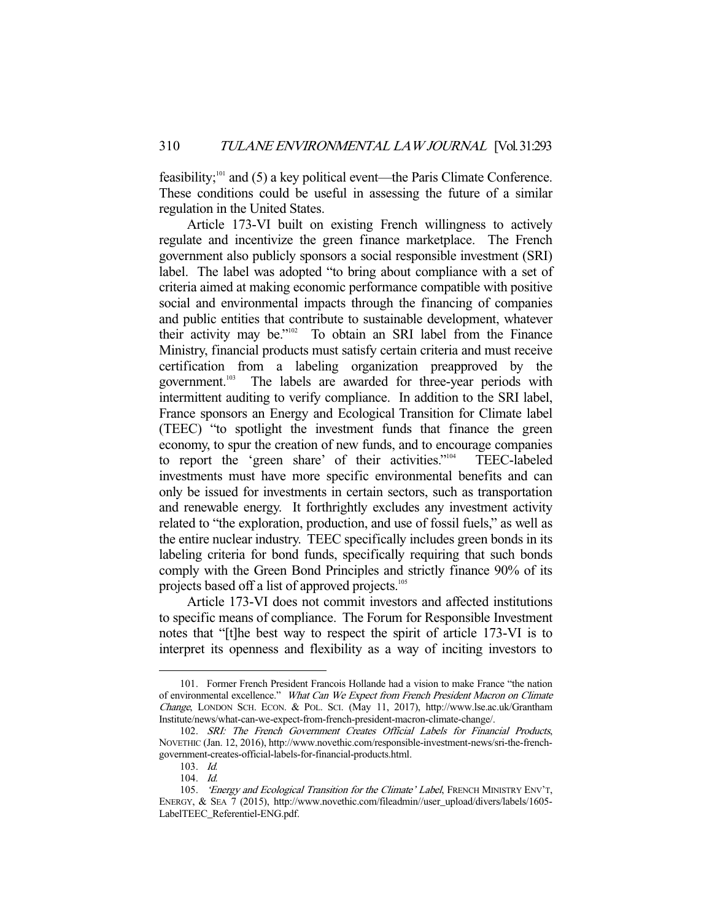feasibility;<sup>101</sup> and (5) a key political event—the Paris Climate Conference. These conditions could be useful in assessing the future of a similar regulation in the United States.

 Article 173-VI built on existing French willingness to actively regulate and incentivize the green finance marketplace. The French government also publicly sponsors a social responsible investment (SRI) label. The label was adopted "to bring about compliance with a set of criteria aimed at making economic performance compatible with positive social and environmental impacts through the financing of companies and public entities that contribute to sustainable development, whatever their activity may be."102 To obtain an SRI label from the Finance Ministry, financial products must satisfy certain criteria and must receive certification from a labeling organization preapproved by the government.<sup>103</sup> The labels are awarded for three-year periods with intermittent auditing to verify compliance. In addition to the SRI label, France sponsors an Energy and Ecological Transition for Climate label (TEEC) "to spotlight the investment funds that finance the green economy, to spur the creation of new funds, and to encourage companies to report the 'green share' of their activities."104 TEEC-labeled investments must have more specific environmental benefits and can only be issued for investments in certain sectors, such as transportation and renewable energy. It forthrightly excludes any investment activity related to "the exploration, production, and use of fossil fuels," as well as the entire nuclear industry. TEEC specifically includes green bonds in its labeling criteria for bond funds, specifically requiring that such bonds comply with the Green Bond Principles and strictly finance 90% of its projects based off a list of approved projects.<sup>105</sup>

 Article 173-VI does not commit investors and affected institutions to specific means of compliance. The Forum for Responsible Investment notes that "[t]he best way to respect the spirit of article 173-VI is to interpret its openness and flexibility as a way of inciting investors to

 <sup>101.</sup> Former French President Francois Hollande had a vision to make France "the nation of environmental excellence." What Can We Expect from French President Macron on Climate Change, LONDON SCH. ECON. & POL. SCI. (May 11, 2017), http://www.lse.ac.uk/Grantham Institute/news/what-can-we-expect-from-french-president-macron-climate-change/.

 <sup>102.</sup> SRI: The French Government Creates Official Labels for Financial Products, NOVETHIC (Jan. 12, 2016), http://www.novethic.com/responsible-investment-news/sri-the-frenchgovernment-creates-official-labels-for-financial-products.html.

 <sup>103.</sup> Id.

 <sup>104.</sup> Id.

<sup>105. &#</sup>x27;Energy and Ecological Transition for the Climate' Label, FRENCH MINISTRY ENV'T, ENERGY, & SEA 7 (2015), http://www.novethic.com/fileadmin//user\_upload/divers/labels/1605- LabelTEEC\_Referentiel-ENG.pdf.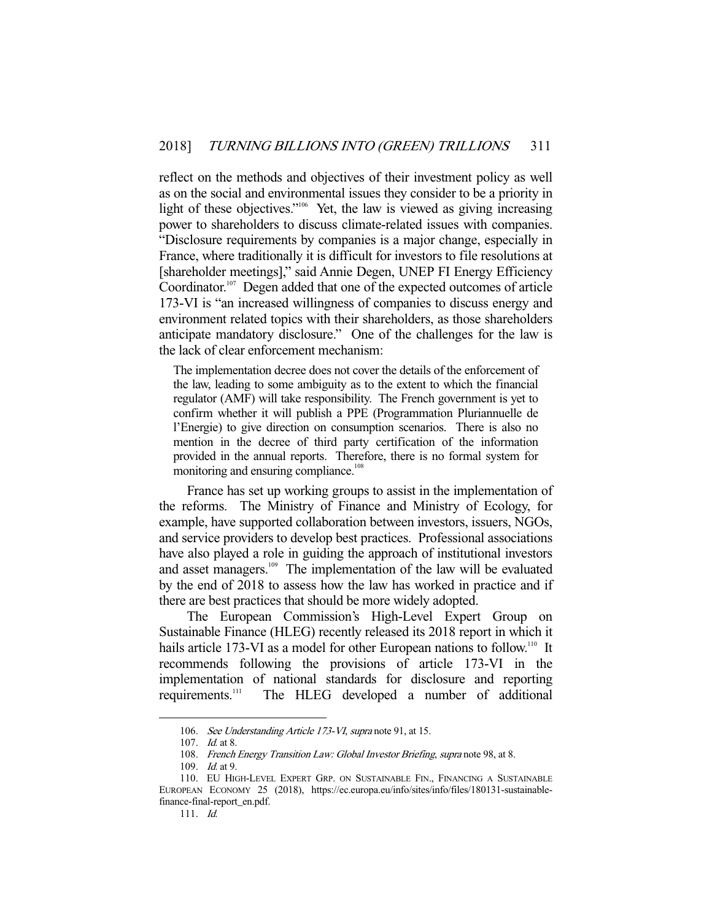reflect on the methods and objectives of their investment policy as well as on the social and environmental issues they consider to be a priority in light of these objectives."<sup>106</sup> Yet, the law is viewed as giving increasing power to shareholders to discuss climate-related issues with companies. "Disclosure requirements by companies is a major change, especially in France, where traditionally it is difficult for investors to file resolutions at [shareholder meetings]," said Annie Degen, UNEP FI Energy Efficiency Coordinator.<sup>107</sup> Degen added that one of the expected outcomes of article 173-VI is "an increased willingness of companies to discuss energy and environment related topics with their shareholders, as those shareholders anticipate mandatory disclosure." One of the challenges for the law is the lack of clear enforcement mechanism:

The implementation decree does not cover the details of the enforcement of the law, leading to some ambiguity as to the extent to which the financial regulator (AMF) will take responsibility. The French government is yet to confirm whether it will publish a PPE (Programmation Pluriannuelle de l'Energie) to give direction on consumption scenarios. There is also no mention in the decree of third party certification of the information provided in the annual reports. Therefore, there is no formal system for monitoring and ensuring compliance.<sup>108</sup>

 France has set up working groups to assist in the implementation of the reforms. The Ministry of Finance and Ministry of Ecology, for example, have supported collaboration between investors, issuers, NGOs, and service providers to develop best practices. Professional associations have also played a role in guiding the approach of institutional investors and asset managers.<sup>109</sup> The implementation of the law will be evaluated by the end of 2018 to assess how the law has worked in practice and if there are best practices that should be more widely adopted.

 The European Commission's High-Level Expert Group on Sustainable Finance (HLEG) recently released its 2018 report in which it hails article 173-VI as a model for other European nations to follow.<sup>110</sup> It recommends following the provisions of article 173-VI in the implementation of national standards for disclosure and reporting requirements.<sup>111</sup> The HLEG developed a number of additional

 <sup>106.</sup> See Understanding Article 173-VI, supra note 91, at 15.

 <sup>107.</sup> Id. at 8.

<sup>108.</sup> French Energy Transition Law: Global Investor Briefing, supra note 98, at 8.

 <sup>109.</sup> Id. at 9.

 <sup>110.</sup> EU HIGH-LEVEL EXPERT GRP. ON SUSTAINABLE FIN., FINANCING A SUSTAINABLE EUROPEAN ECONOMY 25 (2018), https://ec.europa.eu/info/sites/info/files/180131-sustainablefinance-final-report\_en.pdf.

 <sup>111.</sup> Id.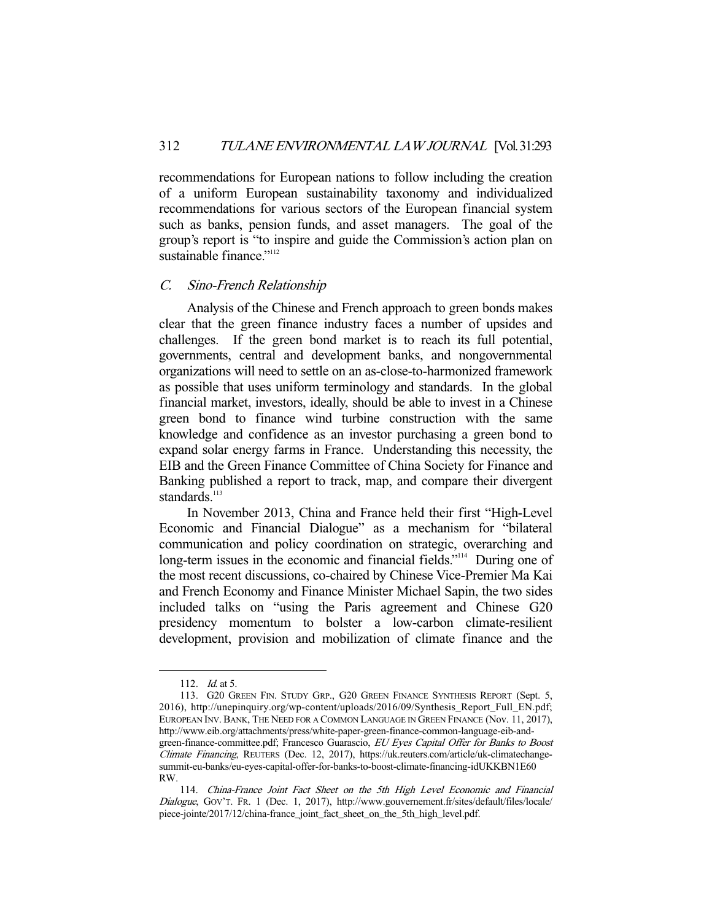recommendations for European nations to follow including the creation of a uniform European sustainability taxonomy and individualized recommendations for various sectors of the European financial system such as banks, pension funds, and asset managers. The goal of the group's report is "to inspire and guide the Commission's action plan on sustainable finance." $112$ 

#### C. Sino-French Relationship

 Analysis of the Chinese and French approach to green bonds makes clear that the green finance industry faces a number of upsides and challenges. If the green bond market is to reach its full potential, governments, central and development banks, and nongovernmental organizations will need to settle on an as-close-to-harmonized framework as possible that uses uniform terminology and standards. In the global financial market, investors, ideally, should be able to invest in a Chinese green bond to finance wind turbine construction with the same knowledge and confidence as an investor purchasing a green bond to expand solar energy farms in France. Understanding this necessity, the EIB and the Green Finance Committee of China Society for Finance and Banking published a report to track, map, and compare their divergent standards.<sup>113</sup>

 In November 2013, China and France held their first "High-Level Economic and Financial Dialogue" as a mechanism for "bilateral communication and policy coordination on strategic, overarching and long-term issues in the economic and financial fields."<sup>114</sup> During one of the most recent discussions, co-chaired by Chinese Vice-Premier Ma Kai and French Economy and Finance Minister Michael Sapin, the two sides included talks on "using the Paris agreement and Chinese G20 presidency momentum to bolster a low-carbon climate-resilient development, provision and mobilization of climate finance and the

<sup>112.</sup> *Id.* at 5.

 <sup>113.</sup> G20 GREEN FIN. STUDY GRP., G20 GREEN FINANCE SYNTHESIS REPORT (Sept. 5, 2016), http://unepinquiry.org/wp-content/uploads/2016/09/Synthesis\_Report\_Full\_EN.pdf; EUROPEAN INV. BANK, THE NEED FOR A COMMON LANGUAGE IN GREEN FINANCE (Nov. 11, 2017), http://www.eib.org/attachments/press/white-paper-green-finance-common-language-eib-andgreen-finance-committee.pdf; Francesco Guarascio, EU Eyes Capital Offer for Banks to Boost Climate Financing, REUTERS (Dec. 12, 2017), https://uk.reuters.com/article/uk-climatechangesummit-eu-banks/eu-eyes-capital-offer-for-banks-to-boost-climate-financing-idUKKBN1E60 RW.

 <sup>114.</sup> China-France Joint Fact Sheet on the 5th High Level Economic and Financial Dialogue, GOV'T. FR. 1 (Dec. 1, 2017), http://www.gouvernement.fr/sites/default/files/locale/ piece-jointe/2017/12/china-france\_joint\_fact\_sheet\_on\_the\_5th\_high\_level.pdf.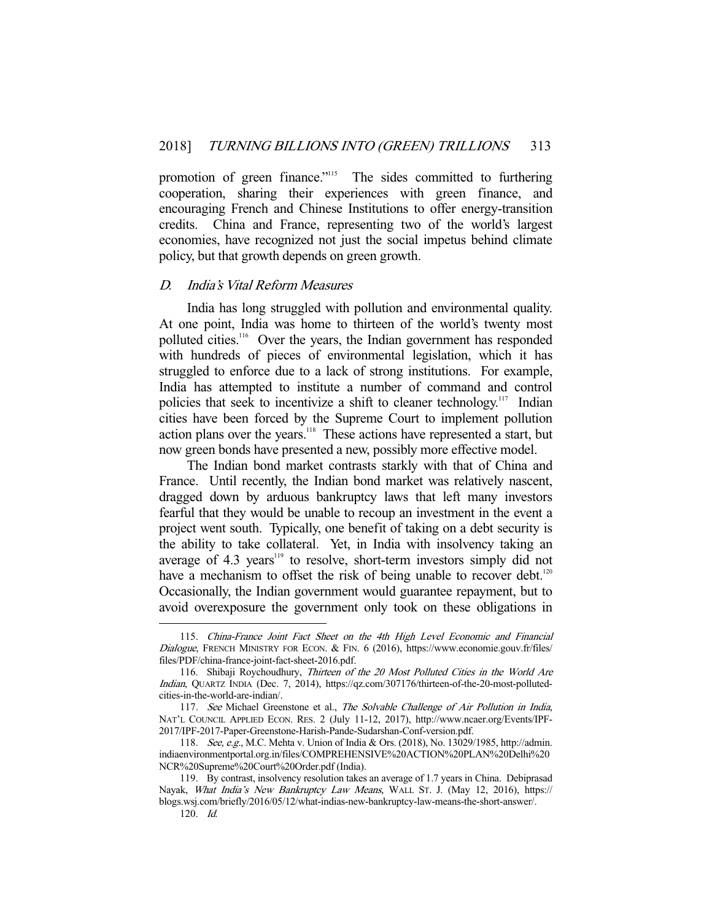promotion of green finance."<sup>115</sup> The sides committed to furthering cooperation, sharing their experiences with green finance, and encouraging French and Chinese Institutions to offer energy-transition credits. China and France, representing two of the world's largest economies, have recognized not just the social impetus behind climate policy, but that growth depends on green growth.

#### D. India's Vital Reform Measures

 India has long struggled with pollution and environmental quality. At one point, India was home to thirteen of the world's twenty most polluted cities.116 Over the years, the Indian government has responded with hundreds of pieces of environmental legislation, which it has struggled to enforce due to a lack of strong institutions. For example, India has attempted to institute a number of command and control policies that seek to incentivize a shift to cleaner technology.<sup>117</sup> Indian cities have been forced by the Supreme Court to implement pollution action plans over the years.<sup>118</sup> These actions have represented a start, but now green bonds have presented a new, possibly more effective model.

 The Indian bond market contrasts starkly with that of China and France. Until recently, the Indian bond market was relatively nascent, dragged down by arduous bankruptcy laws that left many investors fearful that they would be unable to recoup an investment in the event a project went south. Typically, one benefit of taking on a debt security is the ability to take collateral. Yet, in India with insolvency taking an average of  $4.3$  years<sup>119</sup> to resolve, short-term investors simply did not have a mechanism to offset the risk of being unable to recover debt.<sup>120</sup> Occasionally, the Indian government would guarantee repayment, but to avoid overexposure the government only took on these obligations in

 <sup>115.</sup> China-France Joint Fact Sheet on the 4th High Level Economic and Financial Dialogue, FRENCH MINISTRY FOR ECON. & FIN. 6 (2016), https://www.economie.gouv.fr/files/ files/PDF/china-france-joint-fact-sheet-2016.pdf.

 <sup>116.</sup> Shibaji Roychoudhury, Thirteen of the 20 Most Polluted Cities in the World Are Indian, QUARTZ INDIA (Dec. 7, 2014), https://qz.com/307176/thirteen-of-the-20-most-pollutedcities-in-the-world-are-indian/.

<sup>117.</sup> See Michael Greenstone et al., The Solvable Challenge of Air Pollution in India, NAT'L COUNCIL APPLIED ECON. RES. 2 (July 11-12, 2017), http://www.ncaer.org/Events/IPF-2017/IPF-2017-Paper-Greenstone-Harish-Pande-Sudarshan-Conf-version.pdf.

 <sup>118.</sup> See, e.g., M.C. Mehta v. Union of India & Ors. (2018), No. 13029/1985, http://admin. indiaenvironmentportal.org.in/files/COMPREHENSIVE%20ACTION%20PLAN%20Delhi%20 NCR%20Supreme%20Court%20Order.pdf (India).

 <sup>119.</sup> By contrast, insolvency resolution takes an average of 1.7 years in China. Debiprasad Nayak, What India's New Bankruptcy Law Means, WALL ST. J. (May 12, 2016), https:// blogs.wsj.com/briefly/2016/05/12/what-indias-new-bankruptcy-law-means-the-short-answer/.

 <sup>120.</sup> Id.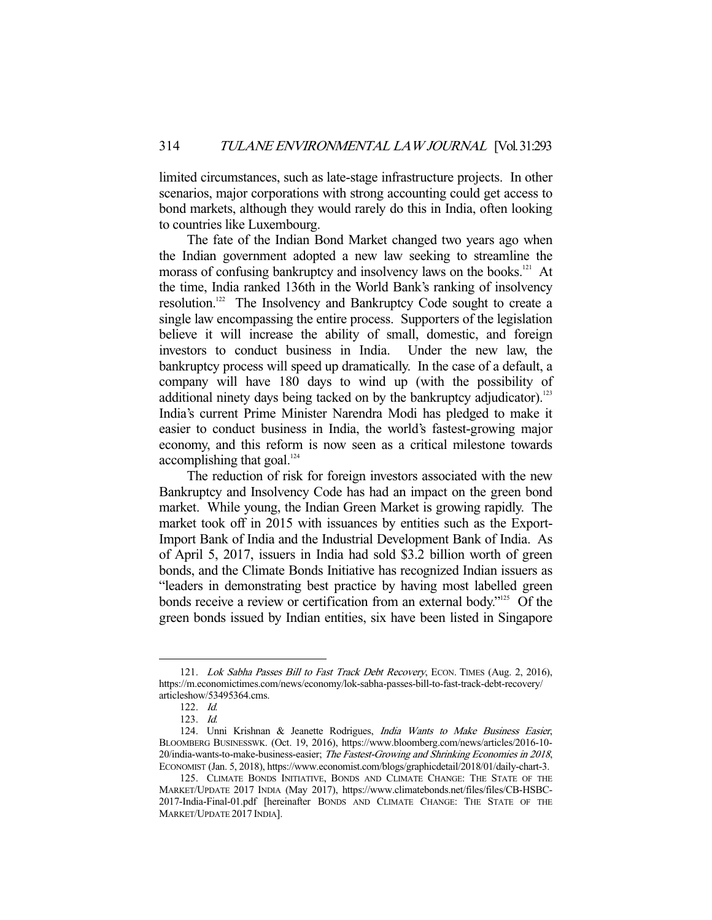limited circumstances, such as late-stage infrastructure projects. In other scenarios, major corporations with strong accounting could get access to bond markets, although they would rarely do this in India, often looking to countries like Luxembourg.

 The fate of the Indian Bond Market changed two years ago when the Indian government adopted a new law seeking to streamline the morass of confusing bankruptcy and insolvency laws on the books.<sup>121</sup> At the time, India ranked 136th in the World Bank's ranking of insolvency resolution.122 The Insolvency and Bankruptcy Code sought to create a single law encompassing the entire process. Supporters of the legislation believe it will increase the ability of small, domestic, and foreign investors to conduct business in India. Under the new law, the bankruptcy process will speed up dramatically. In the case of a default, a company will have 180 days to wind up (with the possibility of additional ninety days being tacked on by the bankruptcy adjudicator).<sup>123</sup> India's current Prime Minister Narendra Modi has pledged to make it easier to conduct business in India, the world's fastest-growing major economy, and this reform is now seen as a critical milestone towards accomplishing that goal.<sup>124</sup>

 The reduction of risk for foreign investors associated with the new Bankruptcy and Insolvency Code has had an impact on the green bond market. While young, the Indian Green Market is growing rapidly. The market took off in 2015 with issuances by entities such as the Export-Import Bank of India and the Industrial Development Bank of India. As of April 5, 2017, issuers in India had sold \$3.2 billion worth of green bonds, and the Climate Bonds Initiative has recognized Indian issuers as "leaders in demonstrating best practice by having most labelled green bonds receive a review or certification from an external body."<sup>125</sup> Of the green bonds issued by Indian entities, six have been listed in Singapore

<sup>121.</sup> Lok Sabha Passes Bill to Fast Track Debt Recovery, ECON. TIMES (Aug. 2, 2016), https://m.economictimes.com/news/economy/lok-sabha-passes-bill-to-fast-track-debt-recovery/ articleshow/53495364.cms.

 <sup>122.</sup> Id.

 <sup>123.</sup> Id.

<sup>124.</sup> Unni Krishnan & Jeanette Rodrigues, India Wants to Make Business Easier, BLOOMBERG BUSINESSWK. (Oct. 19, 2016), https://www.bloomberg.com/news/articles/2016-10- 20/india-wants-to-make-business-easier; The Fastest-Growing and Shrinking Economies in 2018, ECONOMIST (Jan. 5, 2018), https://www.economist.com/blogs/graphicdetail/2018/01/daily-chart-3.

 <sup>125.</sup> CLIMATE BONDS INITIATIVE, BONDS AND CLIMATE CHANGE: THE STATE OF THE MARKET/UPDATE 2017 INDIA (May 2017), https://www.climatebonds.net/files/files/CB-HSBC-2017-India-Final-01.pdf [hereinafter BONDS AND CLIMATE CHANGE: THE STATE OF THE MARKET/UPDATE 2017 INDIA].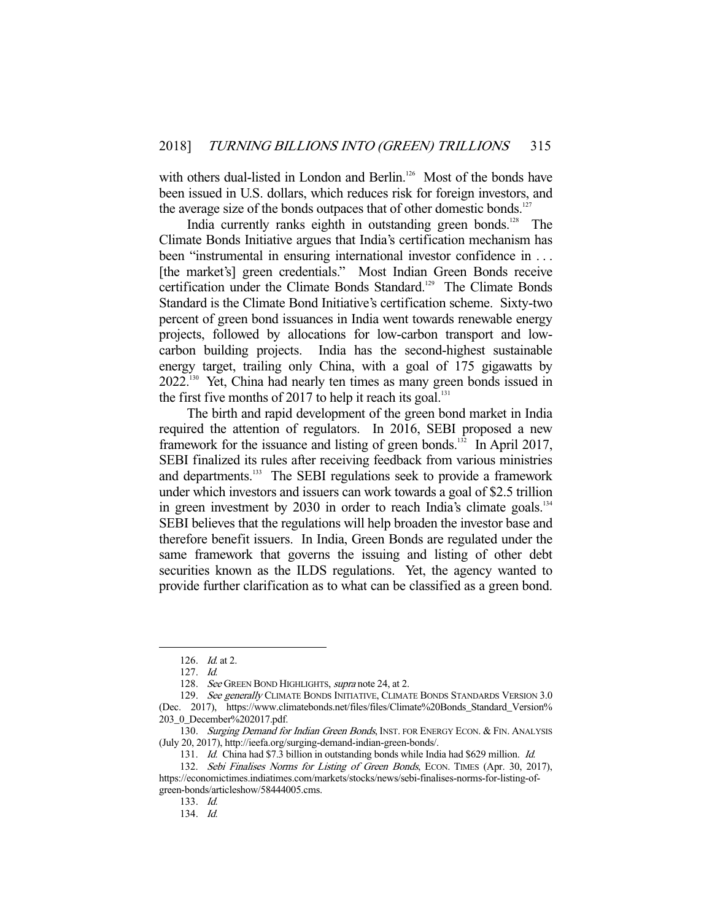with others dual-listed in London and Berlin.<sup>126</sup> Most of the bonds have been issued in U.S. dollars, which reduces risk for foreign investors, and the average size of the bonds outpaces that of other domestic bonds.<sup>127</sup>

India currently ranks eighth in outstanding green bonds.<sup>128</sup> The Climate Bonds Initiative argues that India's certification mechanism has been "instrumental in ensuring international investor confidence in . . . [the market's] green credentials." Most Indian Green Bonds receive certification under the Climate Bonds Standard.<sup>129</sup> The Climate Bonds Standard is the Climate Bond Initiative's certification scheme. Sixty-two percent of green bond issuances in India went towards renewable energy projects, followed by allocations for low-carbon transport and lowcarbon building projects. India has the second-highest sustainable energy target, trailing only China, with a goal of 175 gigawatts by 2022.130 Yet, China had nearly ten times as many green bonds issued in the first five months of 2017 to help it reach its goal.<sup>131</sup>

 The birth and rapid development of the green bond market in India required the attention of regulators. In 2016, SEBI proposed a new framework for the issuance and listing of green bonds.<sup>132</sup> In April 2017, SEBI finalized its rules after receiving feedback from various ministries and departments.<sup>133</sup> The SEBI regulations seek to provide a framework under which investors and issuers can work towards a goal of \$2.5 trillion in green investment by 2030 in order to reach India's climate goals.<sup>134</sup> SEBI believes that the regulations will help broaden the investor base and therefore benefit issuers. In India, Green Bonds are regulated under the same framework that governs the issuing and listing of other debt securities known as the ILDS regulations. Yet, the agency wanted to provide further clarification as to what can be classified as a green bond.

-

134. Id.

 <sup>126.</sup> Id. at 2.

 <sup>127.</sup> Id.

<sup>128.</sup> See GREEN BOND HIGHLIGHTS, supra note 24, at 2.

<sup>129.</sup> See generally CLIMATE BONDS INITIATIVE, CLIMATE BONDS STANDARDS VERSION 3.0 (Dec. 2017), https://www.climatebonds.net/files/files/Climate%20Bonds\_Standard\_Version% 203\_0\_December%202017.pdf.

<sup>130.</sup> Surging Demand for Indian Green Bonds, INST. FOR ENERGY ECON. & FIN. ANALYSIS (July 20, 2017), http://ieefa.org/surging-demand-indian-green-bonds/.

<sup>131.</sup> Id. China had \$7.3 billion in outstanding bonds while India had \$629 million. Id.

<sup>132.</sup> Sebi Finalises Norms for Listing of Green Bonds, ECON. TIMES (Apr. 30, 2017), https://economictimes.indiatimes.com/markets/stocks/news/sebi-finalises-norms-for-listing-ofgreen-bonds/articleshow/58444005.cms.

 <sup>133.</sup> Id.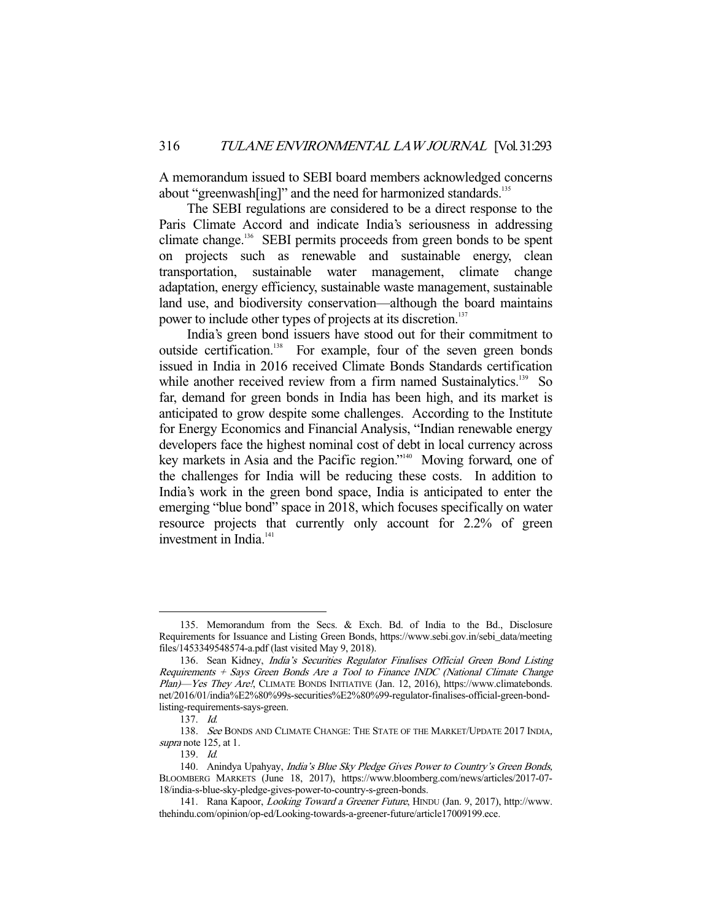A memorandum issued to SEBI board members acknowledged concerns about "greenwash[ing]" and the need for harmonized standards.<sup>135</sup>

 The SEBI regulations are considered to be a direct response to the Paris Climate Accord and indicate India's seriousness in addressing climate change.<sup>136</sup> SEBI permits proceeds from green bonds to be spent on projects such as renewable and sustainable energy, clean transportation, sustainable water management, climate change adaptation, energy efficiency, sustainable waste management, sustainable land use, and biodiversity conservation—although the board maintains power to include other types of projects at its discretion.<sup>137</sup>

 India's green bond issuers have stood out for their commitment to outside certification.<sup>138</sup> For example, four of the seven green bonds issued in India in 2016 received Climate Bonds Standards certification while another received review from a firm named Sustainalytics.<sup>139</sup> So far, demand for green bonds in India has been high, and its market is anticipated to grow despite some challenges. According to the Institute for Energy Economics and Financial Analysis, "Indian renewable energy developers face the highest nominal cost of debt in local currency across key markets in Asia and the Pacific region."140 Moving forward, one of the challenges for India will be reducing these costs. In addition to India's work in the green bond space, India is anticipated to enter the emerging "blue bond" space in 2018, which focuses specifically on water resource projects that currently only account for 2.2% of green investment in India.<sup>141</sup>

 <sup>135.</sup> Memorandum from the Secs. & Exch. Bd. of India to the Bd., Disclosure Requirements for Issuance and Listing Green Bonds, https://www.sebi.gov.in/sebi\_data/meeting files/1453349548574-a.pdf (last visited May 9, 2018).

<sup>136.</sup> Sean Kidney, India's Securities Regulator Finalises Official Green Bond Listing Requirements + Says Green Bonds Are a Tool to Finance INDC (National Climate Change Plan)—Yes They Are!, CLIMATE BONDS INITIATIVE (Jan. 12, 2016), https://www.climatebonds. net/2016/01/india%E2%80%99s-securities%E2%80%99-regulator-finalises-official-green-bondlisting-requirements-says-green.

 <sup>137.</sup> Id.

<sup>138.</sup> See BONDS AND CLIMATE CHANGE: THE STATE OF THE MARKET/UPDATE 2017 INDIA, supra note 125, at 1.

 <sup>139.</sup> Id.

<sup>140.</sup> Anindya Upahyay, India's Blue Sky Pledge Gives Power to Country's Green Bonds, BLOOMBERG MARKETS (June 18, 2017), https://www.bloomberg.com/news/articles/2017-07- 18/india-s-blue-sky-pledge-gives-power-to-country-s-green-bonds.

 <sup>141.</sup> Rana Kapoor, Looking Toward a Greener Future, HINDU (Jan. 9, 2017), http://www. thehindu.com/opinion/op-ed/Looking-towards-a-greener-future/article17009199.ece.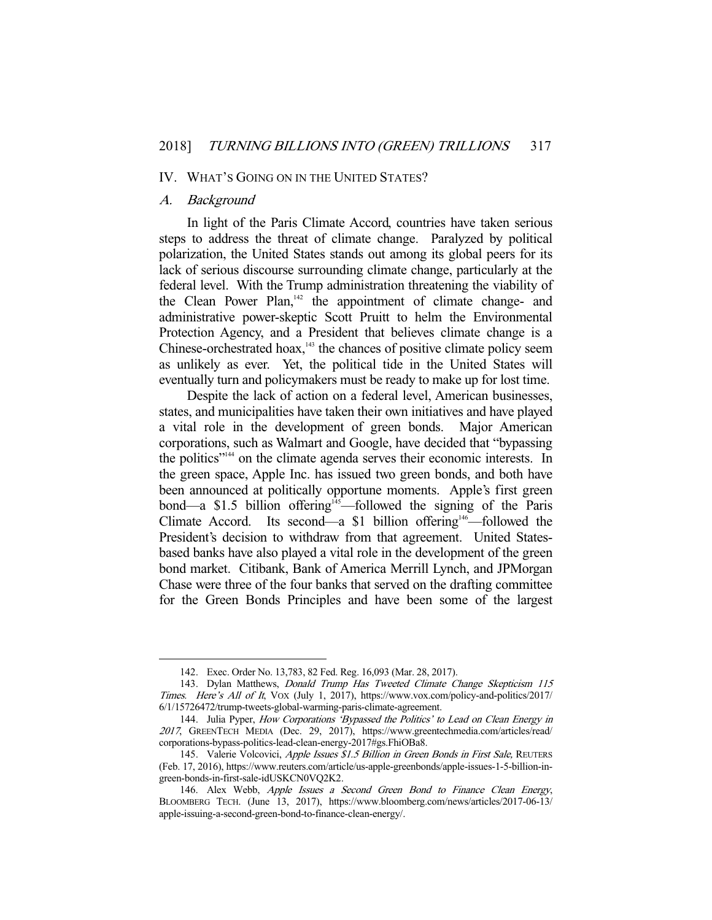#### IV. WHAT'S GOING ON IN THE UNITED STATES?

#### A. Background

-

 In light of the Paris Climate Accord, countries have taken serious steps to address the threat of climate change. Paralyzed by political polarization, the United States stands out among its global peers for its lack of serious discourse surrounding climate change, particularly at the federal level. With the Trump administration threatening the viability of the Clean Power Plan, $142$  the appointment of climate change- and administrative power-skeptic Scott Pruitt to helm the Environmental Protection Agency, and a President that believes climate change is a Chinese-orchestrated hoax, $143$  the chances of positive climate policy seem as unlikely as ever. Yet, the political tide in the United States will eventually turn and policymakers must be ready to make up for lost time.

 Despite the lack of action on a federal level, American businesses, states, and municipalities have taken their own initiatives and have played a vital role in the development of green bonds. Major American corporations, such as Walmart and Google, have decided that "bypassing the politics"<sup>144</sup> on the climate agenda serves their economic interests. In the green space, Apple Inc. has issued two green bonds, and both have been announced at politically opportune moments. Apple's first green bond—a \$1.5 billion offering<sup>145</sup>—followed the signing of the Paris Climate Accord. Its second—a  $$1$  billion offering<sup>146</sup>—followed the President's decision to withdraw from that agreement. United Statesbased banks have also played a vital role in the development of the green bond market. Citibank, Bank of America Merrill Lynch, and JPMorgan Chase were three of the four banks that served on the drafting committee for the Green Bonds Principles and have been some of the largest

 <sup>142.</sup> Exec. Order No. 13,783, 82 Fed. Reg. 16,093 (Mar. 28, 2017).

<sup>143.</sup> Dylan Matthews, *Donald Trump Has Tweeted Climate Change Skepticism 115* Times. Here's All of It, VOX (July 1, 2017), https://www.vox.com/policy-and-politics/2017/ 6/1/15726472/trump-tweets-global-warming-paris-climate-agreement.

 <sup>144.</sup> Julia Pyper, How Corporations 'Bypassed the Politics' to Lead on Clean Energy in <sup>2017</sup>, GREENTECH MEDIA (Dec. 29, 2017), https://www.greentechmedia.com/articles/read/ corporations-bypass-politics-lead-clean-energy-2017#gs.FhiOBa8.

<sup>145.</sup> Valerie Volcovici, Apple Issues \$1.5 Billion in Green Bonds in First Sale, REUTERS (Feb. 17, 2016), https://www.reuters.com/article/us-apple-greenbonds/apple-issues-1-5-billion-ingreen-bonds-in-first-sale-idUSKCN0VQ2K2.

<sup>146.</sup> Alex Webb, Apple Issues a Second Green Bond to Finance Clean Energy, BLOOMBERG TECH. (June 13, 2017), https://www.bloomberg.com/news/articles/2017-06-13/ apple-issuing-a-second-green-bond-to-finance-clean-energy/.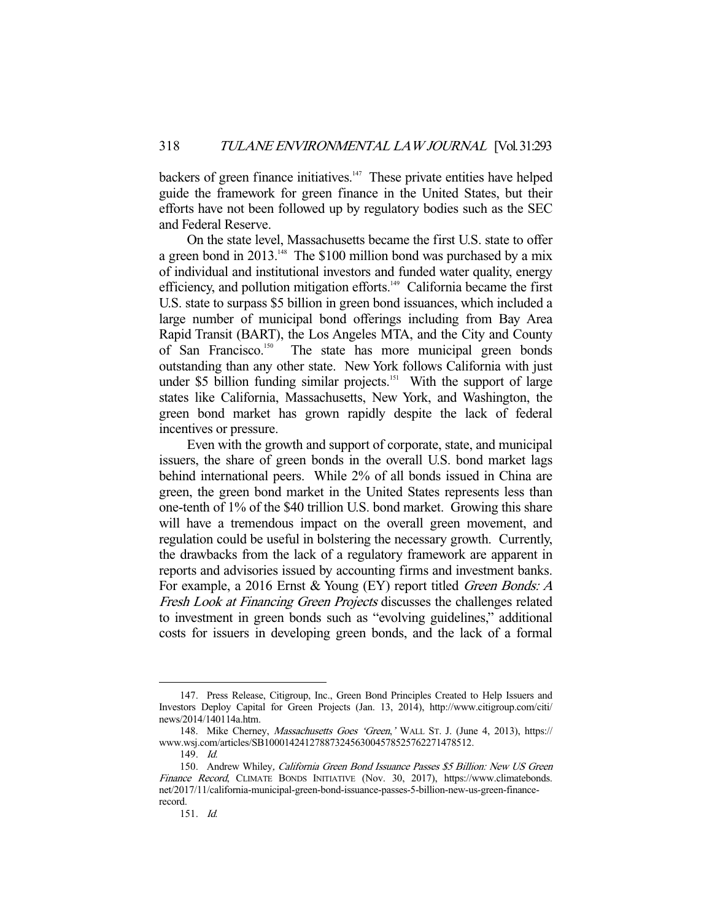backers of green finance initiatives.<sup>147</sup> These private entities have helped guide the framework for green finance in the United States, but their efforts have not been followed up by regulatory bodies such as the SEC and Federal Reserve.

 On the state level, Massachusetts became the first U.S. state to offer a green bond in  $2013$ <sup>148</sup> The \$100 million bond was purchased by a mix of individual and institutional investors and funded water quality, energy efficiency, and pollution mitigation efforts.<sup>149</sup> California became the first U.S. state to surpass \$5 billion in green bond issuances, which included a large number of municipal bond offerings including from Bay Area Rapid Transit (BART), the Los Angeles MTA, and the City and County of San Francisco.<sup>150</sup> The state has more municipal green bonds outstanding than any other state. New York follows California with just under \$5 billion funding similar projects.<sup>151</sup> With the support of large states like California, Massachusetts, New York, and Washington, the green bond market has grown rapidly despite the lack of federal incentives or pressure.

 Even with the growth and support of corporate, state, and municipal issuers, the share of green bonds in the overall U.S. bond market lags behind international peers. While 2% of all bonds issued in China are green, the green bond market in the United States represents less than one-tenth of 1% of the \$40 trillion U.S. bond market. Growing this share will have a tremendous impact on the overall green movement, and regulation could be useful in bolstering the necessary growth. Currently, the drawbacks from the lack of a regulatory framework are apparent in reports and advisories issued by accounting firms and investment banks. For example, a 2016 Ernst & Young (EY) report titled *Green Bonds: A* Fresh Look at Financing Green Projects discusses the challenges related to investment in green bonds such as "evolving guidelines," additional costs for issuers in developing green bonds, and the lack of a formal

 <sup>147.</sup> Press Release, Citigroup, Inc., Green Bond Principles Created to Help Issuers and Investors Deploy Capital for Green Projects (Jan. 13, 2014), http://www.citigroup.com/citi/ news/2014/140114a.htm.

 <sup>148.</sup> Mike Cherney, Massachusetts Goes 'Green,' WALL ST. J. (June 4, 2013), https:// www.wsj.com/articles/SB10001424127887324563004578525762271478512.

 <sup>149.</sup> Id.

<sup>150.</sup> Andrew Whiley, California Green Bond Issuance Passes \$5 Billion: New US Green Finance Record, CLIMATE BONDS INITIATIVE (Nov. 30, 2017), https://www.climatebonds. net/2017/11/california-municipal-green-bond-issuance-passes-5-billion-new-us-green-financerecord.

 <sup>151.</sup> Id.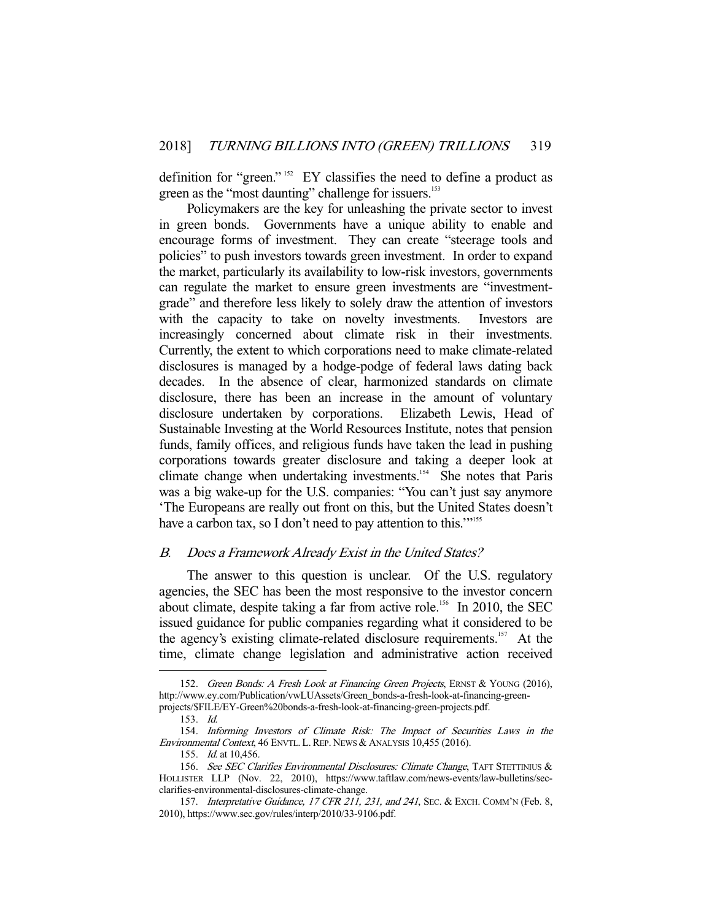definition for "green." 152 EY classifies the need to define a product as green as the "most daunting" challenge for issuers.<sup>153</sup>

 Policymakers are the key for unleashing the private sector to invest in green bonds. Governments have a unique ability to enable and encourage forms of investment. They can create "steerage tools and policies" to push investors towards green investment. In order to expand the market, particularly its availability to low-risk investors, governments can regulate the market to ensure green investments are "investmentgrade" and therefore less likely to solely draw the attention of investors with the capacity to take on novelty investments. Investors are increasingly concerned about climate risk in their investments. Currently, the extent to which corporations need to make climate-related disclosures is managed by a hodge-podge of federal laws dating back decades. In the absence of clear, harmonized standards on climate disclosure, there has been an increase in the amount of voluntary disclosure undertaken by corporations. Elizabeth Lewis, Head of Sustainable Investing at the World Resources Institute, notes that pension funds, family offices, and religious funds have taken the lead in pushing corporations towards greater disclosure and taking a deeper look at climate change when undertaking investments.<sup>154</sup> She notes that Paris was a big wake-up for the U.S. companies: "You can't just say anymore 'The Europeans are really out front on this, but the United States doesn't have a carbon tax, so I don't need to pay attention to this.""<sup>155</sup>

#### B. Does a Framework Already Exist in the United States?

 The answer to this question is unclear. Of the U.S. regulatory agencies, the SEC has been the most responsive to the investor concern about climate, despite taking a far from active role.<sup>156</sup> In 2010, the SEC issued guidance for public companies regarding what it considered to be the agency's existing climate-related disclosure requirements.<sup>157</sup> At the time, climate change legislation and administrative action received

<sup>152.</sup> Green Bonds: A Fresh Look at Financing Green Projects, ERNST & YOUNG (2016), http://www.ey.com/Publication/vwLUAssets/Green\_bonds-a-fresh-look-at-financing-greenprojects/\$FILE/EY-Green%20bonds-a-fresh-look-at-financing-green-projects.pdf.

 <sup>153.</sup> Id.

 <sup>154.</sup> Informing Investors of Climate Risk: The Impact of Securities Laws in the Environmental Context, 46 ENVTL. L. REP. NEWS & ANALYSIS 10,455 (2016).

 <sup>155.</sup> Id. at 10,456.

<sup>156.</sup> See SEC Clarifies Environmental Disclosures: Climate Change, TAFT STETTINIUS & HOLLISTER LLP (Nov. 22, 2010), https://www.taftlaw.com/news-events/law-bulletins/secclarifies-environmental-disclosures-climate-change.

<sup>157.</sup> Interpretative Guidance, 17 CFR 211, 231, and 241, SEC. & EXCH. COMM'N (Feb. 8, 2010), https://www.sec.gov/rules/interp/2010/33-9106.pdf.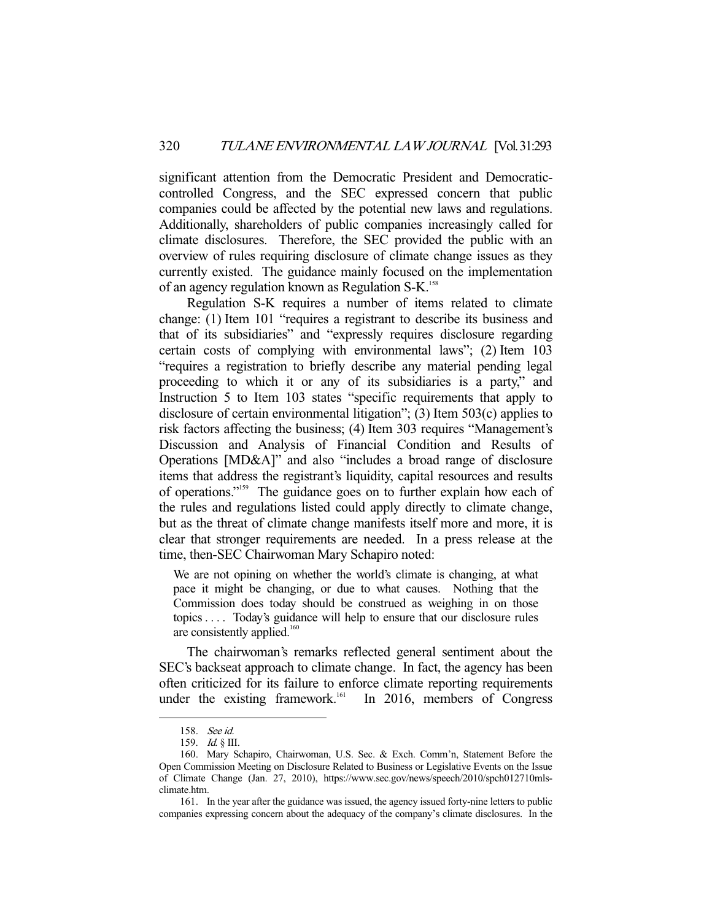significant attention from the Democratic President and Democraticcontrolled Congress, and the SEC expressed concern that public companies could be affected by the potential new laws and regulations. Additionally, shareholders of public companies increasingly called for climate disclosures. Therefore, the SEC provided the public with an overview of rules requiring disclosure of climate change issues as they currently existed. The guidance mainly focused on the implementation of an agency regulation known as Regulation S-K.<sup>158</sup>

 Regulation S-K requires a number of items related to climate change: (1) Item 101 "requires a registrant to describe its business and that of its subsidiaries" and "expressly requires disclosure regarding certain costs of complying with environmental laws"; (2) Item 103 "requires a registration to briefly describe any material pending legal proceeding to which it or any of its subsidiaries is a party," and Instruction 5 to Item 103 states "specific requirements that apply to disclosure of certain environmental litigation"; (3) Item 503(c) applies to risk factors affecting the business; (4) Item 303 requires "Management's Discussion and Analysis of Financial Condition and Results of Operations [MD&A]" and also "includes a broad range of disclosure items that address the registrant's liquidity, capital resources and results of operations."159 The guidance goes on to further explain how each of the rules and regulations listed could apply directly to climate change, but as the threat of climate change manifests itself more and more, it is clear that stronger requirements are needed. In a press release at the time, then-SEC Chairwoman Mary Schapiro noted:

We are not opining on whether the world's climate is changing, at what pace it might be changing, or due to what causes. Nothing that the Commission does today should be construed as weighing in on those topics . . . . Today's guidance will help to ensure that our disclosure rules are consistently applied.<sup>160</sup>

 The chairwoman's remarks reflected general sentiment about the SEC's backseat approach to climate change. In fact, the agency has been often criticized for its failure to enforce climate reporting requirements under the existing framework.<sup>161</sup> In 2016, members of Congress

 <sup>158.</sup> See id.

 <sup>159.</sup> Id. § III.

 <sup>160.</sup> Mary Schapiro, Chairwoman, U.S. Sec. & Exch. Comm'n, Statement Before the Open Commission Meeting on Disclosure Related to Business or Legislative Events on the Issue of Climate Change (Jan. 27, 2010), https://www.sec.gov/news/speech/2010/spch012710mlsclimate.htm.

 <sup>161.</sup> In the year after the guidance was issued, the agency issued forty-nine letters to public companies expressing concern about the adequacy of the company's climate disclosures. In the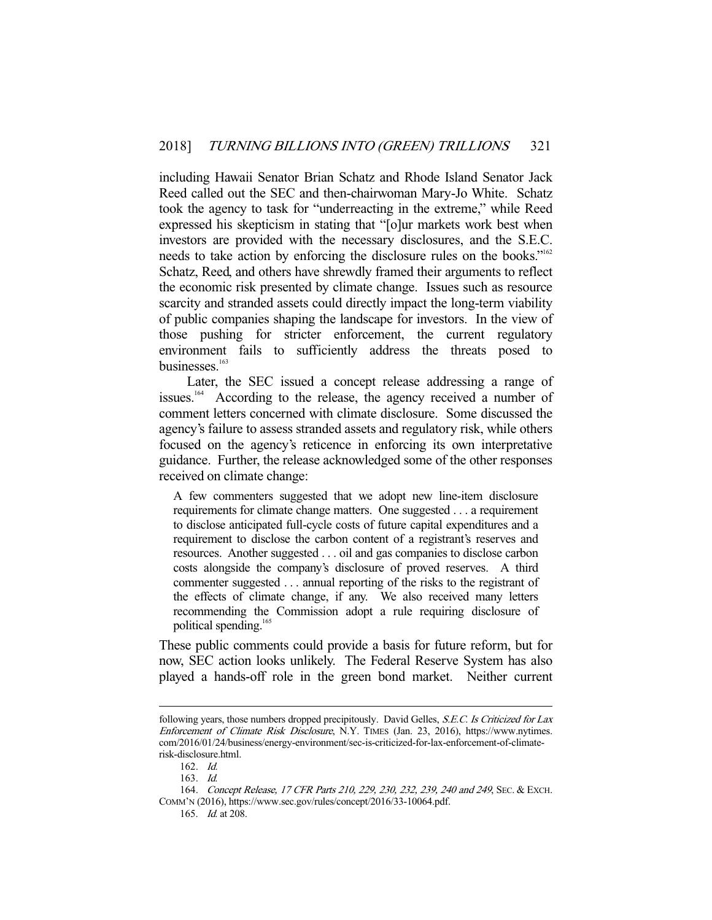including Hawaii Senator Brian Schatz and Rhode Island Senator Jack Reed called out the SEC and then-chairwoman Mary-Jo White. Schatz took the agency to task for "underreacting in the extreme," while Reed expressed his skepticism in stating that "[o]ur markets work best when investors are provided with the necessary disclosures, and the S.E.C. needs to take action by enforcing the disclosure rules on the books."<sup>162</sup> Schatz, Reed, and others have shrewdly framed their arguments to reflect the economic risk presented by climate change. Issues such as resource scarcity and stranded assets could directly impact the long-term viability of public companies shaping the landscape for investors. In the view of those pushing for stricter enforcement, the current regulatory environment fails to sufficiently address the threats posed to businesses $163$ 

 Later, the SEC issued a concept release addressing a range of issues.<sup>164</sup> According to the release, the agency received a number of comment letters concerned with climate disclosure. Some discussed the agency's failure to assess stranded assets and regulatory risk, while others focused on the agency's reticence in enforcing its own interpretative guidance. Further, the release acknowledged some of the other responses received on climate change:

A few commenters suggested that we adopt new line-item disclosure requirements for climate change matters. One suggested . . . a requirement to disclose anticipated full-cycle costs of future capital expenditures and a requirement to disclose the carbon content of a registrant's reserves and resources. Another suggested . . . oil and gas companies to disclose carbon costs alongside the company's disclosure of proved reserves. A third commenter suggested . . . annual reporting of the risks to the registrant of the effects of climate change, if any. We also received many letters recommending the Commission adopt a rule requiring disclosure of political spending.<sup>165</sup>

These public comments could provide a basis for future reform, but for now, SEC action looks unlikely. The Federal Reserve System has also played a hands-off role in the green bond market. Neither current

following years, those numbers dropped precipitously. David Gelles, S.E.C. Is Criticized for Lax Enforcement of Climate Risk Disclosure, N.Y. TIMES (Jan. 23, 2016), https://www.nytimes. com/2016/01/24/business/energy-environment/sec-is-criticized-for-lax-enforcement-of-climaterisk-disclosure.html.

 <sup>162.</sup> Id.

 <sup>163.</sup> Id.

 <sup>164.</sup> Concept Release, 17 CFR Parts 210, 229, 230, 232, 239, 240 and 249, SEC. & EXCH. COMM'N (2016), https://www.sec.gov/rules/concept/2016/33-10064.pdf.

 <sup>165.</sup> Id. at 208.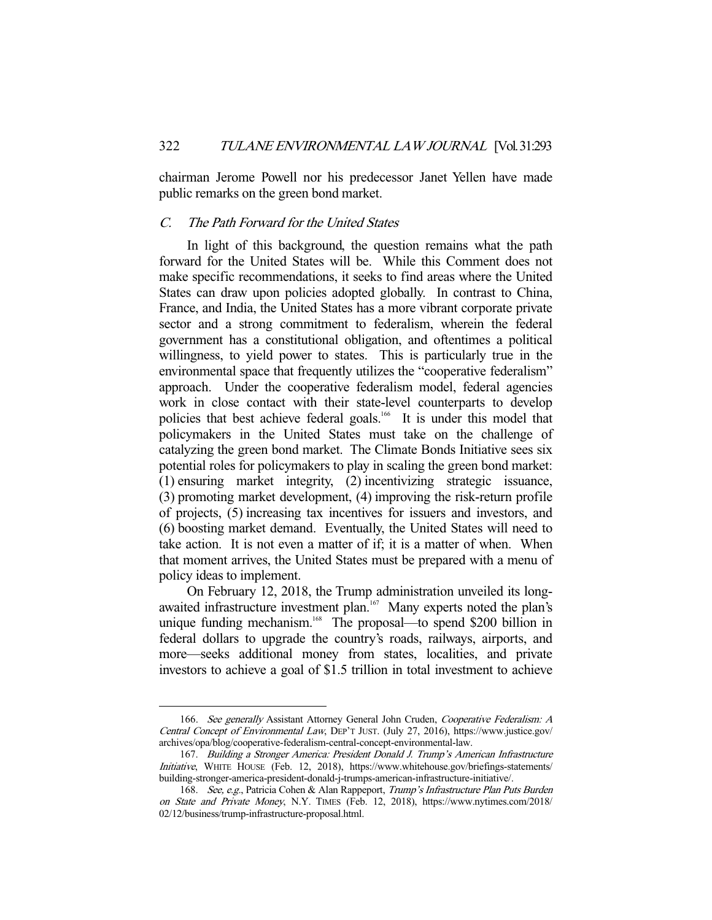chairman Jerome Powell nor his predecessor Janet Yellen have made public remarks on the green bond market.

# C. The Path Forward for the United States

 In light of this background, the question remains what the path forward for the United States will be. While this Comment does not make specific recommendations, it seeks to find areas where the United States can draw upon policies adopted globally. In contrast to China, France, and India, the United States has a more vibrant corporate private sector and a strong commitment to federalism, wherein the federal government has a constitutional obligation, and oftentimes a political willingness, to yield power to states. This is particularly true in the environmental space that frequently utilizes the "cooperative federalism" approach. Under the cooperative federalism model, federal agencies work in close contact with their state-level counterparts to develop policies that best achieve federal goals.<sup>166</sup> It is under this model that policymakers in the United States must take on the challenge of catalyzing the green bond market. The Climate Bonds Initiative sees six potential roles for policymakers to play in scaling the green bond market: (1) ensuring market integrity, (2) incentivizing strategic issuance, (3) promoting market development, (4) improving the risk-return profile of projects, (5) increasing tax incentives for issuers and investors, and (6) boosting market demand. Eventually, the United States will need to take action. It is not even a matter of if; it is a matter of when. When that moment arrives, the United States must be prepared with a menu of policy ideas to implement.

 On February 12, 2018, the Trump administration unveiled its longawaited infrastructure investment plan.<sup>167</sup> Many experts noted the plan's unique funding mechanism.<sup>168</sup> The proposal—to spend \$200 billion in federal dollars to upgrade the country's roads, railways, airports, and more—seeks additional money from states, localities, and private investors to achieve a goal of \$1.5 trillion in total investment to achieve

<sup>166.</sup> See generally Assistant Attorney General John Cruden, Cooperative Federalism: A Central Concept of Environmental Law, DEP'T JUST. (July 27, 2016), https://www.justice.gov/ archives/opa/blog/cooperative-federalism-central-concept-environmental-law.

 <sup>167.</sup> Building a Stronger America: President Donald J. Trump's American Infrastructure Initiative, WHITE HOUSE (Feb. 12, 2018), https://www.whitehouse.gov/briefings-statements/ building-stronger-america-president-donald-j-trumps-american-infrastructure-initiative/.

<sup>168.</sup> See, e.g., Patricia Cohen & Alan Rappeport, Trump's Infrastructure Plan Puts Burden on State and Private Money, N.Y. TIMES (Feb. 12, 2018), https://www.nytimes.com/2018/ 02/12/business/trump-infrastructure-proposal.html.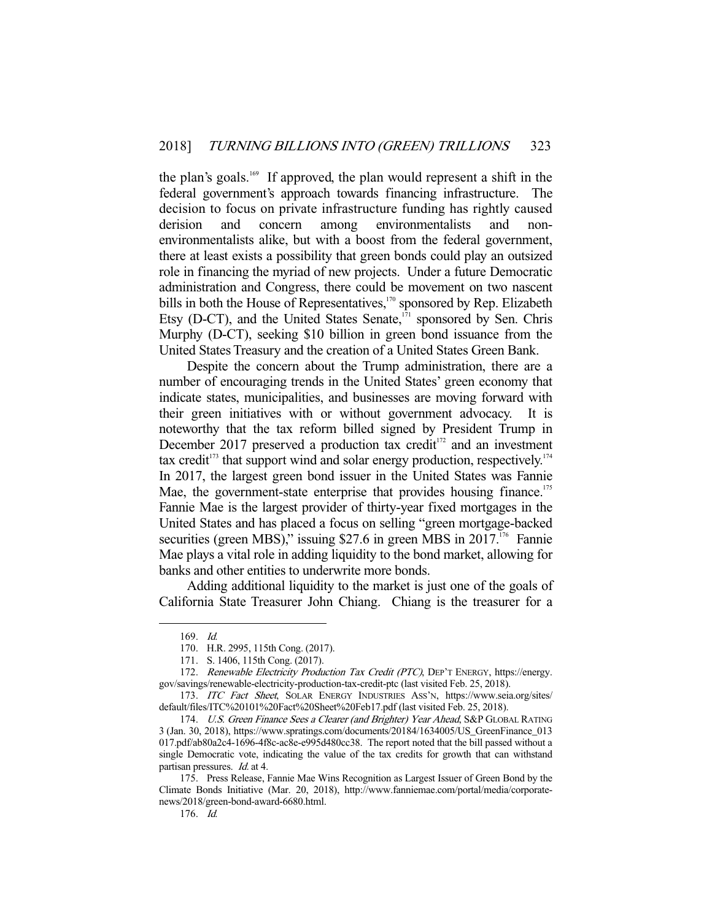the plan's goals.<sup>169</sup> If approved, the plan would represent a shift in the federal government's approach towards financing infrastructure. The decision to focus on private infrastructure funding has rightly caused derision and concern among environmentalists and nonenvironmentalists alike, but with a boost from the federal government, there at least exists a possibility that green bonds could play an outsized role in financing the myriad of new projects. Under a future Democratic administration and Congress, there could be movement on two nascent bills in both the House of Representatives,<sup>170</sup> sponsored by Rep. Elizabeth Etsy (D-CT), and the United States Senate,<sup>171</sup> sponsored by Sen. Chris Murphy (D-CT), seeking \$10 billion in green bond issuance from the United States Treasury and the creation of a United States Green Bank.

 Despite the concern about the Trump administration, there are a number of encouraging trends in the United States' green economy that indicate states, municipalities, and businesses are moving forward with their green initiatives with or without government advocacy. It is noteworthy that the tax reform billed signed by President Trump in December 2017 preserved a production tax credit<sup>172</sup> and an investment tax credit $173$  that support wind and solar energy production, respectively.<sup>174</sup> In 2017, the largest green bond issuer in the United States was Fannie Mae, the government-state enterprise that provides housing finance.<sup>175</sup> Fannie Mae is the largest provider of thirty-year fixed mortgages in the United States and has placed a focus on selling "green mortgage-backed securities (green MBS)," issuing \$27.6 in green MBS in 2017.<sup>176</sup> Fannie Mae plays a vital role in adding liquidity to the bond market, allowing for banks and other entities to underwrite more bonds.

 Adding additional liquidity to the market is just one of the goals of California State Treasurer John Chiang. Chiang is the treasurer for a

 <sup>169.</sup> Id.

 <sup>170.</sup> H.R. 2995, 115th Cong. (2017).

 <sup>171.</sup> S. 1406, 115th Cong. (2017).

<sup>172.</sup> Renewable Electricity Production Tax Credit (PTC), DEP'T ENERGY, https://energy. gov/savings/renewable-electricity-production-tax-credit-ptc (last visited Feb. 25, 2018).

<sup>173.</sup> ITC Fact Sheet, SOLAR ENERGY INDUSTRIES ASS'N, https://www.seia.org/sites/ default/files/ITC%20101%20Fact%20Sheet%20Feb17.pdf (last visited Feb. 25, 2018).

<sup>174.</sup> U.S. Green Finance Sees a Clearer (and Brighter) Year Ahead, S&P GLOBAL RATING 3 (Jan. 30, 2018), https://www.spratings.com/documents/20184/1634005/US\_GreenFinance\_013 017.pdf/ab80a2c4-1696-4f8c-ac8e-e995d480cc38. The report noted that the bill passed without a single Democratic vote, indicating the value of the tax credits for growth that can withstand partisan pressures. Id. at 4.

 <sup>175.</sup> Press Release, Fannie Mae Wins Recognition as Largest Issuer of Green Bond by the Climate Bonds Initiative (Mar. 20, 2018), http://www.fanniemae.com/portal/media/corporatenews/2018/green-bond-award-6680.html.

 <sup>176.</sup> Id.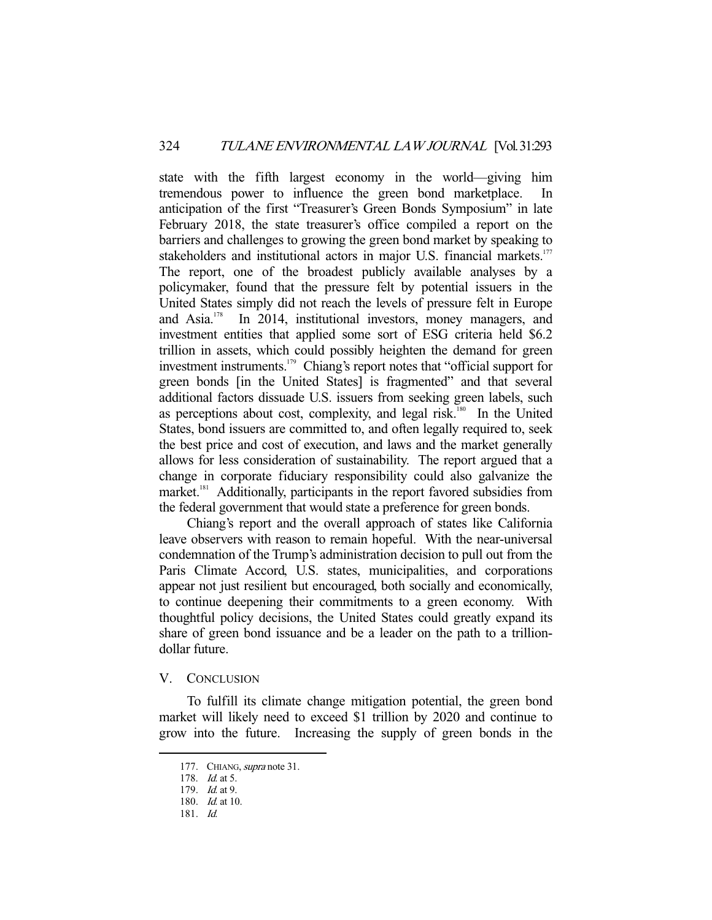state with the fifth largest economy in the world—giving him tremendous power to influence the green bond marketplace. anticipation of the first "Treasurer's Green Bonds Symposium" in late February 2018, the state treasurer's office compiled a report on the barriers and challenges to growing the green bond market by speaking to stakeholders and institutional actors in major U.S. financial markets.<sup>177</sup> The report, one of the broadest publicly available analyses by a policymaker, found that the pressure felt by potential issuers in the United States simply did not reach the levels of pressure felt in Europe and Asia.178 In 2014, institutional investors, money managers, and investment entities that applied some sort of ESG criteria held \$6.2 trillion in assets, which could possibly heighten the demand for green investment instruments.<sup>179</sup> Chiang's report notes that "official support for green bonds [in the United States] is fragmented" and that several additional factors dissuade U.S. issuers from seeking green labels, such as perceptions about cost, complexity, and legal risk.<sup>180</sup> In the United States, bond issuers are committed to, and often legally required to, seek the best price and cost of execution, and laws and the market generally allows for less consideration of sustainability. The report argued that a change in corporate fiduciary responsibility could also galvanize the market.<sup>181</sup> Additionally, participants in the report favored subsidies from the federal government that would state a preference for green bonds.

 Chiang's report and the overall approach of states like California leave observers with reason to remain hopeful. With the near-universal condemnation of the Trump's administration decision to pull out from the Paris Climate Accord, U.S. states, municipalities, and corporations appear not just resilient but encouraged, both socially and economically, to continue deepening their commitments to a green economy. With thoughtful policy decisions, the United States could greatly expand its share of green bond issuance and be a leader on the path to a trilliondollar future.

### V. CONCLUSION

 To fulfill its climate change mitigation potential, the green bond market will likely need to exceed \$1 trillion by 2020 and continue to grow into the future. Increasing the supply of green bonds in the

<sup>177.</sup> CHIANG, supra note 31.

<sup>178.</sup> *Id.* at 5.

 <sup>179.</sup> Id. at 9.

 <sup>180.</sup> Id. at 10.

<sup>181.</sup>  $Id$